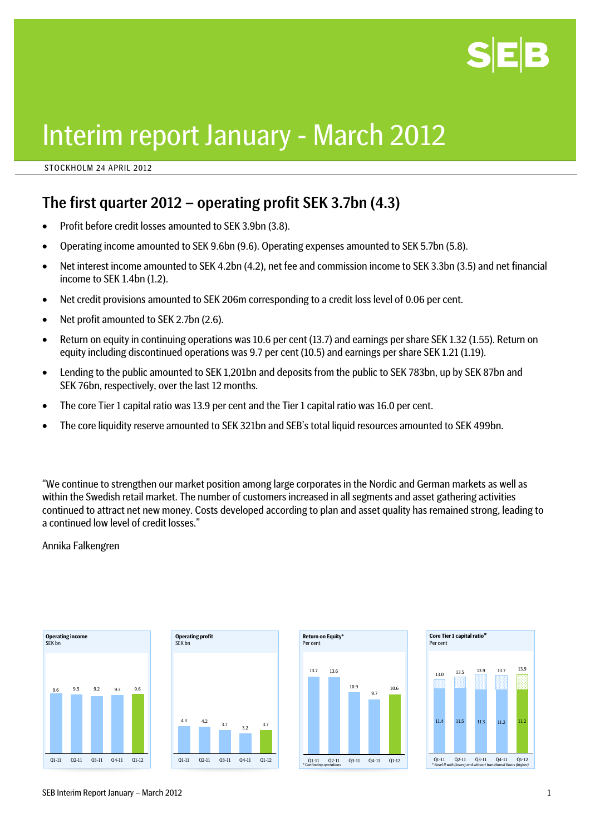

# Interim report January - March 2012

STOCKHOLM 24 APRIL 2012

## The first quarter 2012 – operating profit SEK 3.7bn (4.3)

- Profit before credit losses amounted to SEK 3.9bn (3.8).
- Operating income amounted to SEK 9.6bn (9.6). Operating expenses amounted to SEK 5.7bn (5.8).
- Net interest income amounted to SEK 4.2bn (4.2), net fee and commission income to SEK 3.3bn (3.5) and net financial income to SEK 1.4bn (1.2).
- Net credit provisions amounted to SEK 206m corresponding to a credit loss level of 0.06 per cent.
- Net profit amounted to SEK 2.7bn (2.6).
- Return on equity in continuing operations was 10.6 per cent (13.7) and earnings per share SEK 1.32 (1.55). Return on equity including discontinued operations was 9.7 per cent (10.5) and earnings per share SEK 1.21 (1.19).
- Lending to the public amounted to SEK 1,201bn and deposits from the public to SEK 783bn, up by SEK 87bn and SEK 76bn, respectively, over the last 12 months.
- The core Tier 1 capital ratio was 13.9 per cent and the Tier 1 capital ratio was 16.0 per cent.
- The core liquidity reserve amounted to SEK 321bn and SEB's total liquid resources amounted to SEK 499bn.

"We continue to strengthen our market position among large corporates in the Nordic and German markets as well as within the Swedish retail market. The number of customers increased in all segments and asset gathering activities continued to attract net new money. Costs developed according to plan and asset quality has remained strong, leading to a continued low level of credit losses."

Annika Falkengren







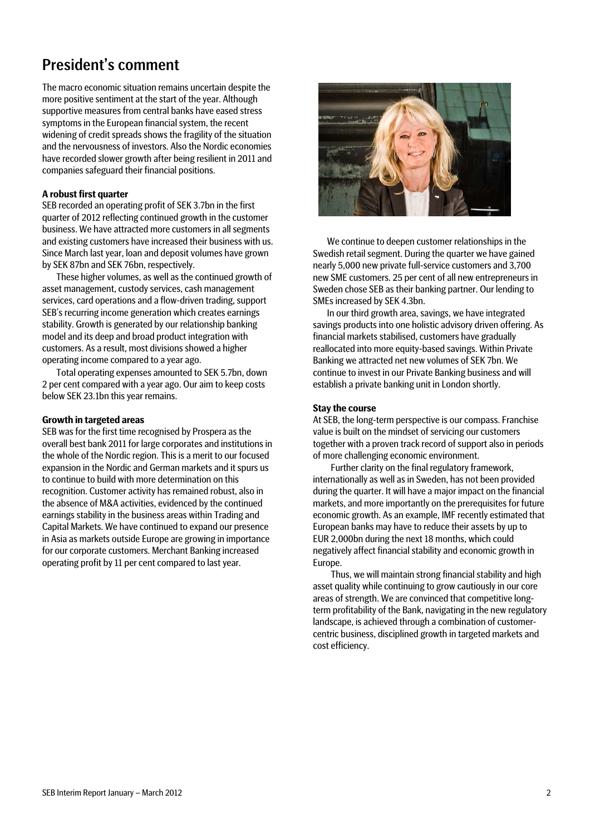## President's comment

The macro economic situation remains uncertain despite the more positive sentiment at the start of the year. Although supportive measures from central banks have eased stress symptoms in the European financial system, the recent widening of credit spreads shows the fragility of the situation and the nervousness of investors. Also the Nordic economies have recorded slower growth after being resilient in 2011 and companies safeguard their financial positions.

### **A robust first quarter**

SEB recorded an operating profit of SEK 3.7bn in the first quarter of 2012 reflecting continued growth in the customer business. We have attracted more customers in all segments and existing customers have increased their business with us. Since March last year, loan and deposit volumes have grown by SEK 87bn and SEK 76bn, respectively.

These higher volumes, as well as the continued growth of asset management, custody services, cash management services, card operations and a flow-driven trading, support SEB's recurring income generation which creates earnings stability. Growth is generated by our relationship banking model and its deep and broad product integration with customers. As a result, most divisions showed a higher operating income compared to a year ago.

Total operating expenses amounted to SEK 5.7bn, down 2 per cent compared with a year ago. Our aim to keep costs below SEK 23.1bn this year remains.

### **Growth in targeted areas**

SEB was for the first time recognised by Prospera as the overall best bank 2011 for large corporates and institutions in the whole of the Nordic region. This is a merit to our focused expansion in the Nordic and German markets and it spurs us to continue to build with more determination on this recognition. Customer activity has remained robust, also in the absence of M&A activities, evidenced by the continued earnings stability in the business areas within Trading and Capital Markets. We have continued to expand our presence in Asia as markets outside Europe are growing in importance for our corporate customers. Merchant Banking increased operating profit by 11 per cent compared to last year.



We continue to deepen customer relationships in the Swedish retail segment. During the quarter we have gained nearly 5,000 new private full-service customers and 3,700 new SME customers. 25 per cent of all new entrepreneurs in Sweden chose SEB as their banking partner. Our lending to SMEs increased by SEK 4.3bn.

In our third growth area, savings, we have integrated savings products into one holistic advisory driven offering. As financial markets stabilised, customers have gradually reallocated into more equity-based savings. Within Private Banking we attracted net new volumes of SEK 7bn. We continue to invest in our Private Banking business and will establish a private banking unit in London shortly.

### **Stay the course**

At SEB, the long-term perspective is our compass. Franchise value is built on the mindset of servicing our customers together with a proven track record of support also in periods of more challenging economic environment.

Further clarity on the final regulatory framework, internationally as well as in Sweden, has not been provided during the quarter. It will have a major impact on the financial markets, and more importantly on the prerequisites for future economic growth. As an example, IMF recently estimated that European banks may have to reduce their assets by up to EUR 2,000bn during the next 18 months, which could negatively affect financial stability and economic growth in Europe.

Thus, we will maintain strong financial stability and high asset quality while continuing to grow cautiously in our core areas of strength. We are convinced that competitive longterm profitability of the Bank, navigating in the new regulatory landscape, is achieved through a combination of customercentric business, disciplined growth in targeted markets and cost efficiency.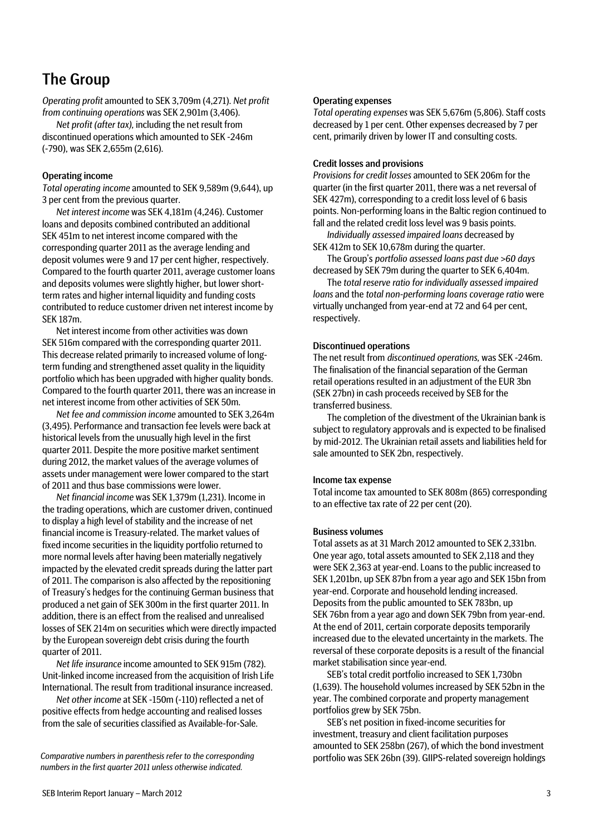## The Group

*Operating profit* amounted to SEK 3,709m (4,271). *Net profit from continuing operations* was SEK 2,901m (3,406).

*Net profit (after tax),* including the net result from discontinued operations which amounted to SEK -246m (-790), was SEK 2,655m (2,616).

#### Operating income

*Total operating income* amounted to SEK 9,589m (9,644), up 3 per cent from the previous quarter.

*Net interest income* was SEK 4,181m (4,246). Customer loans and deposits combined contributed an additional SEK 451m to net interest income compared with the corresponding quarter 2011 as the average lending and deposit volumes were 9 and 17 per cent higher, respectively. Compared to the fourth quarter 2011, average customer loans and deposits volumes were slightly higher, but lower shortterm rates and higher internal liquidity and funding costs contributed to reduce customer driven net interest income by SEK 187m.

Net interest income from other activities was down SEK 516m compared with the corresponding quarter 2011. This decrease related primarily to increased volume of longterm funding and strengthened asset quality in the liquidity portfolio which has been upgraded with higher quality bonds. Compared to the fourth quarter 2011, there was an increase in net interest income from other activities of SEK 50m.

*Net fee and commission income* amounted to SEK 3,264m (3,495). Performance and transaction fee levels were back at historical levels from the unusually high level in the first quarter 2011. Despite the more positive market sentiment during 2012, the market values of the average volumes of assets under management were lower compared to the start of 2011 and thus base commissions were lower.

*Net financial income* was SEK 1,379m (1,231). Income in the trading operations, which are customer driven, continued to display a high level of stability and the increase of net financial income is Treasury-related. The market values of fixed income securities in the liquidity portfolio returned to more normal levels after having been materially negatively impacted by the elevated credit spreads during the latter part of 2011. The comparison is also affected by the repositioning of Treasury's hedges for the continuing German business that produced a net gain of SEK 300m in the first quarter 2011. In addition, there is an effect from the realised and unrealised losses of SEK 214m on securities which were directly impacted by the European sovereign debt crisis during the fourth quarter of 2011.

*Net life insurance* income amounted to SEK 915m (782). Unit-linked income increased from the acquisition of Irish Life International. The result from traditional insurance increased.

*Net other income* at SEK -150m (-110) reflected a net of positive effects from hedge accounting and realised losses from the sale of securities classified as Available-for-Sale.

*numbers in the first quarter 2011 unless otherwise indicated.* 

### Operating expenses

*Total operating expenses* was SEK 5,676m (5,806). Staff costs decreased by 1 per cent. Other expenses decreased by 7 per cent, primarily driven by lower IT and consulting costs.

#### Credit losses and provisions

*Provisions for credit losses* amounted to SEK 206m for the quarter (in the first quarter 2011, there was a net reversal of SEK 427m), corresponding to a credit loss level of 6 basis points. Non-performing loans in the Baltic region continued to fall and the related credit loss level was 9 basis points.

*Individually assessed impaired loans* decreased by SEK 412m to SEK 10,678m during the quarter.

The Group's *portfolio assessed loans past due >60 days*  decreased by SEK 79m during the quarter to SEK 6,404m.

The *total reserve ratio for individually assessed impaired loans* and the *total non-performing loans coverage ratio* were virtually unchanged from year-end at 72 and 64 per cent, respectively.

#### Discontinued operations

The net result from *discontinued operations,* was SEK -246m. The finalisation of the financial separation of the German retail operations resulted in an adjustment of the EUR 3bn (SEK 27bn) in cash proceeds received by SEB for the transferred business.

The completion of the divestment of the Ukrainian bank is subject to regulatory approvals and is expected to be finalised by mid-2012. The Ukrainian retail assets and liabilities held for sale amounted to SEK 2bn, respectively.

#### Income tax expense

Total income tax amounted to SEK 808m (865) corresponding to an effective tax rate of 22 per cent (20).

#### Business volumes

Total assets as at 31 March 2012 amounted to SEK 2,331bn. One year ago, total assets amounted to SEK 2,118 and they were SEK 2,363 at year-end. Loans to the public increased to SEK 1,201bn, up SEK 87bn from a year ago and SEK 15bn from year-end. Corporate and household lending increased. Deposits from the public amounted to SEK 783bn, up SEK 76bn from a year ago and down SEK 79bn from year-end. At the end of 2011, certain corporate deposits temporarily increased due to the elevated uncertainty in the markets. The reversal of these corporate deposits is a result of the financial market stabilisation since year-end.

SEB's total credit portfolio increased to SEK 1,730bn (1,639). The household volumes increased by SEK 52bn in the year. The combined corporate and property management portfolios grew by SEK 75bn.

SEB's net position in fixed-income securities for investment, treasury and client facilitation purposes amounted to SEK 258bn (267), of which the bond investment *Comparative numbers in parenthesis refer to the corresponding portfolio was SEK 26bn (39). GIIPS-related sovereign holdings*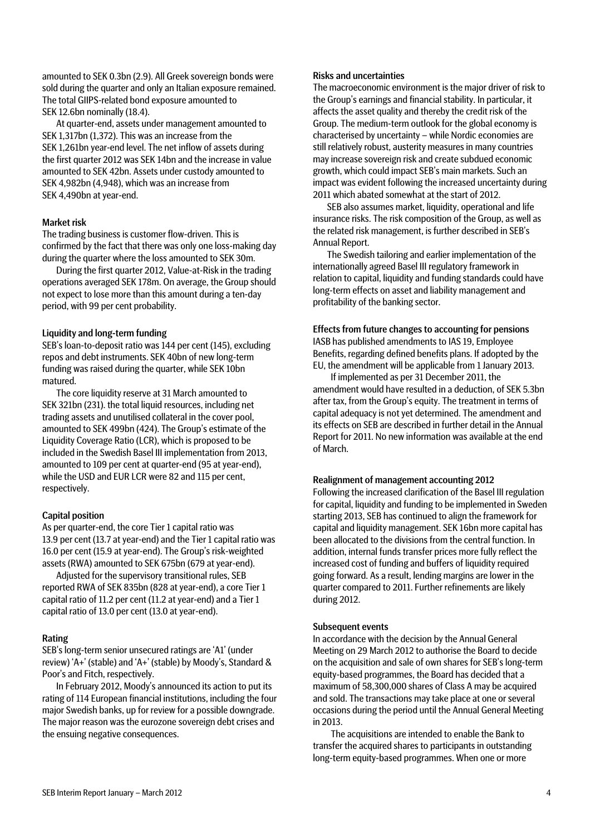amounted to SEK 0.3bn (2.9). All Greek sovereign bonds were sold during the quarter and only an Italian exposure remained. The total GIIPS-related bond exposure amounted to SEK 12.6bn nominally (18.4).

At quarter-end, assets under management amounted to SEK 1,317bn (1,372). This was an increase from the SEK 1,261bn year-end level. The net inflow of assets during the first quarter 2012 was SEK 14bn and the increase in value amounted to SEK 42bn. Assets under custody amounted to SEK 4,982bn (4,948), which was an increase from SEK 4,490bn at year-end.

### Market risk

The trading business is customer flow-driven. This is confirmed by the fact that there was only one loss-making day during the quarter where the loss amounted to SEK 30m.

During the first quarter 2012, Value-at-Risk in the trading operations averaged SEK 178m. On average, the Group should not expect to lose more than this amount during a ten-day period, with 99 per cent probability.

### Liquidity and long-term funding

SEB's loan-to-deposit ratio was 144 per cent (145), excluding repos and debt instruments. SEK 40bn of new long-term funding was raised during the quarter, while SEK 10bn matured.

The core liquidity reserve at 31 March amounted to SEK 321bn (231). the total liquid resources, including net trading assets and unutilised collateral in the cover pool, amounted to SEK 499bn (424). The Group's estimate of the Liquidity Coverage Ratio (LCR), which is proposed to be included in the Swedish Basel III implementation from 2013, amounted to 109 per cent at quarter-end (95 at year-end), while the USD and EUR LCR were 82 and 115 per cent, respectively.

#### Capital position

As per quarter-end, the core Tier 1 capital ratio was 13.9 per cent (13.7 at year-end) and the Tier 1 capital ratio was 16.0 per cent (15.9 at year-end). The Group's risk-weighted assets (RWA) amounted to SEK 675bn (679 at year-end).

Adjusted for the supervisory transitional rules, SEB reported RWA of SEK 835bn (828 at year-end), a core Tier 1 capital ratio of 11.2 per cent (11.2 at year-end) and a Tier 1 capital ratio of 13.0 per cent (13.0 at year-end).

#### Rating

SEB's long-term senior unsecured ratings are 'A1' (under review) 'A+' (stable) and 'A+' (stable) by Moody's, Standard & Poor's and Fitch, respectively.

In February 2012, Moody's announced its action to put its rating of 114 European financial institutions, including the four major Swedish banks, up for review for a possible downgrade. The major reason was the eurozone sovereign debt crises and the ensuing negative consequences.

### Risks and uncertainties

The macroeconomic environment is the major driver of risk to the Group's earnings and financial stability. In particular, it affects the asset quality and thereby the credit risk of the Group. The medium-term outlook for the global economy is characterised by uncertainty – while Nordic economies are still relatively robust, austerity measures in many countries may increase sovereign risk and create subdued economic growth, which could impact SEB's main markets. Such an impact was evident following the increased uncertainty during 2011 which abated somewhat at the start of 2012.

SEB also assumes market, liquidity, operational and life insurance risks. The risk composition of the Group, as well as the related risk management, is further described in SEB's Annual Report.

The Swedish tailoring and earlier implementation of the internationally agreed Basel III regulatory framework in relation to capital, liquidity and funding standards could have long-term effects on asset and liability management and profitability of the banking sector.

### Effects from future changes to accounting for pensions IASB has published amendments to IAS 19, Employee Benefits, regarding defined benefits plans. If adopted by the EU, the amendment will be applicable from 1 January 2013.

If implemented as per 31 December 2011, the amendment would have resulted in a deduction, of SEK 5.3bn after tax, from the Group's equity. The treatment in terms of capital adequacy is not yet determined. The amendment and its effects on SEB are described in further detail in the Annual Report for 2011. No new information was available at the end of March.

#### Realignment of management accounting 2012

Following the increased clarification of the Basel III regulation for capital, liquidity and funding to be implemented in Sweden starting 2013, SEB has continued to align the framework for capital and liquidity management. SEK 16bn more capital has been allocated to the divisions from the central function. In addition, internal funds transfer prices more fully reflect the increased cost of funding and buffers of liquidity required going forward. As a result, lending margins are lower in the quarter compared to 2011. Further refinements are likely during 2012.

### Subsequent events

In accordance with the decision by the Annual General Meeting on 29 March 2012 to authorise the Board to decide on the acquisition and sale of own shares for SEB's long-term equity-based programmes, the Board has decided that a maximum of 58,300,000 shares of Class A may be acquired and sold. The transactions may take place at one or several occasions during the period until the Annual General Meeting in 2013.

The acquisitions are intended to enable the Bank to transfer the acquired shares to participants in outstanding long-term equity-based programmes. When one or more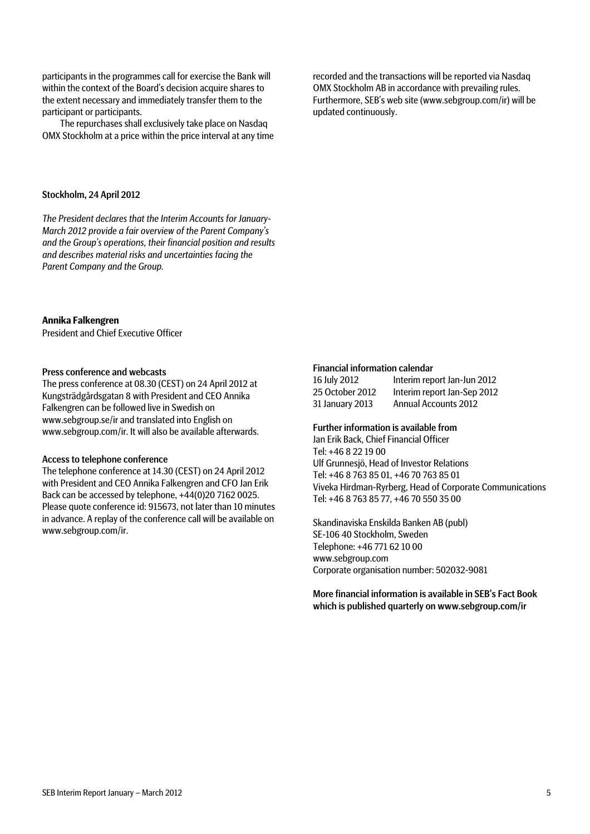participants in the programmes call for exercise the Bank will within the context of the Board's decision acquire shares to the extent necessary and immediately transfer them to the participant or participants.

The repurchases shall exclusively take place on Nasdaq OMX Stockholm at a price within the price interval at any time

### Stockholm, 24 April 2012

*The President declares that the Interim Accounts for January-March 2012 provide a fair overview of the Parent Company's and the Group's operations, their financial position and results and describes material risks and uncertainties facing the Parent Company and the Group.* 

#### **Annika Falkengren**

President and Chief Executive Officer

#### Press conference and webcasts

The press conference at 08.30 (CEST) on 24 April 2012 at Kungsträdgårdsgatan 8 with President and CEO Annika Falkengren can be followed live in Swedish on www.sebgroup.se/ir and translated into English on www.sebgroup.com/ir. It will also be available afterwards.

#### Access to telephone conference

The telephone conference at 14.30 (CEST) on 24 April 2012 with President and CEO Annika Falkengren and CFO Jan Erik Back can be accessed by telephone, +44(0)20 7162 0025. Please quote conference id: 915673, not later than 10 minutes in advance. A replay of the conference call will be available on www.sebgroup.com/ir.

recorded and the transactions will be reported via Nasdaq OMX Stockholm AB in accordance with prevailing rules. Furthermore, SEB's web site (www.sebgroup.com/ir) will be updated continuously.

### Financial information calendar

| 16 July 2012    | Interim report Jan-Jun 2012 |
|-----------------|-----------------------------|
| 25 October 2012 | Interim report Jan-Sep 2012 |
| 31 January 2013 | <b>Annual Accounts 2012</b> |

### Further information is available from

Jan Erik Back, Chief Financial Officer Tel: +46 8 22 19 00 Ulf Grunnesjö, Head of Investor Relations Tel: +46 8 763 85 01, +46 70 763 85 01 Viveka Hirdman-Ryrberg, Head of Corporate Communications Tel: +46 8 763 85 77, +46 70 550 35 00

Skandinaviska Enskilda Banken AB (publ) SE-106 40 Stockholm, Sweden Telephone: +46 771 62 10 00 www.sebgroup.com Corporate organisation number: 502032-9081

More financial information is available in SEB's Fact Book which is published quarterly on www.sebgroup.com/ir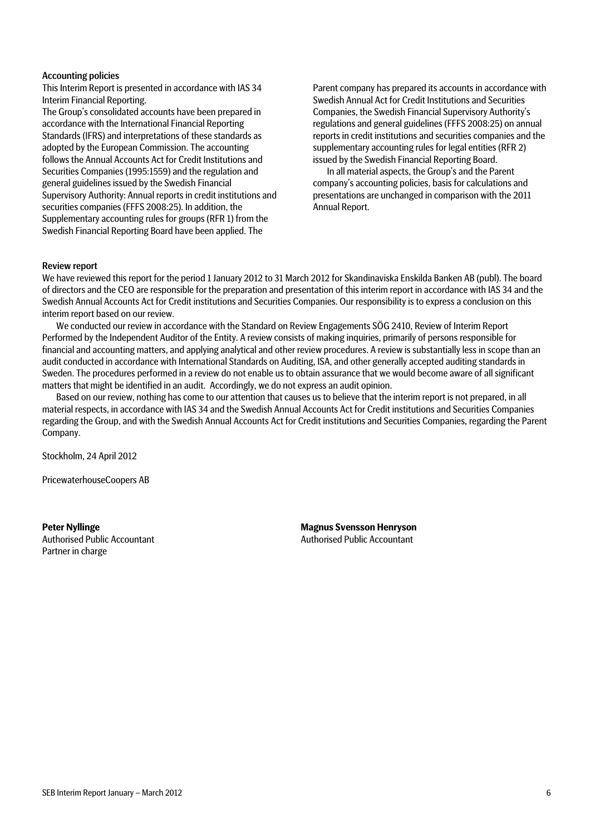### Accounting policies

This Interim Report is presented in accordance with IAS 34 Interim Financial Reporting.

The Group's consolidated accounts have been prepared in accordance with the International Financial Reporting Standards (IFRS) and interpretations of these standards as adopted by the European Commission. The accounting follows the Annual Accounts Act for Credit Institutions and Securities Companies (1995:1559) and the regulation and general guidelines issued by the Swedish Financial Supervisory Authority: Annual reports in credit institutions and securities companies (FFFS 2008:25). In addition, the Supplementary accounting rules for groups (RFR 1) from the Swedish Financial Reporting Board have been applied. The

Parent company has prepared its accounts in accordance with Swedish Annual Act for Credit Institutions and Securities Companies, the Swedish Financial Supervisory Authority's regulations and general guidelines (FFFS 2008:25) on annual reports in credit institutions and securities companies and the supplementary accounting rules for legal entities (RFR 2) issued by the Swedish Financial Reporting Board.

In all material aspects, the Group's and the Parent company's accounting policies, basis for calculations and presentations are unchanged in comparison with the 2011 Annual Report.

#### Review report

We have reviewed this report for the period 1 January 2012 to 31 March 2012 for Skandinaviska Enskilda Banken AB (publ). The board of directors and the CEO are responsible for the preparation and presentation of this interim report in accordance with IAS 34 and the Swedish Annual Accounts Act for Credit institutions and Securities Companies. Our responsibility is to express a conclusion on this interim report based on our review.

We conducted our review in accordance with the Standard on Review Engagements SÖG 2410, Review of Interim Report Performed by the Independent Auditor of the Entity. A review consists of making inquiries, primarily of persons responsible for financial and accounting matters, and applying analytical and other review procedures. A review is substantially less in scope than an audit conducted in accordance with International Standards on Auditing, ISA, and other generally accepted auditing standards in Sweden. The procedures performed in a review do not enable us to obtain assurance that we would become aware of all significant matters that might be identified in an audit. Accordingly, we do not express an audit opinion.

Based on our review, nothing has come to our attention that causes us to believe that the interim report is not prepared, in all material respects, in accordance with IAS 34 and the Swedish Annual Accounts Act for Credit institutions and Securities Companies regarding the Group, and with the Swedish Annual Accounts Act for Credit institutions and Securities Companies, regarding the Parent Company.

Stockholm, 24 April 2012

PricewaterhouseCoopers AB

Authorised Public Accountant Authorised Public Accountant Partner in charge

**Peter Nyllinge** Magnus Svensson Henryson **Magnus Svensson Henryson**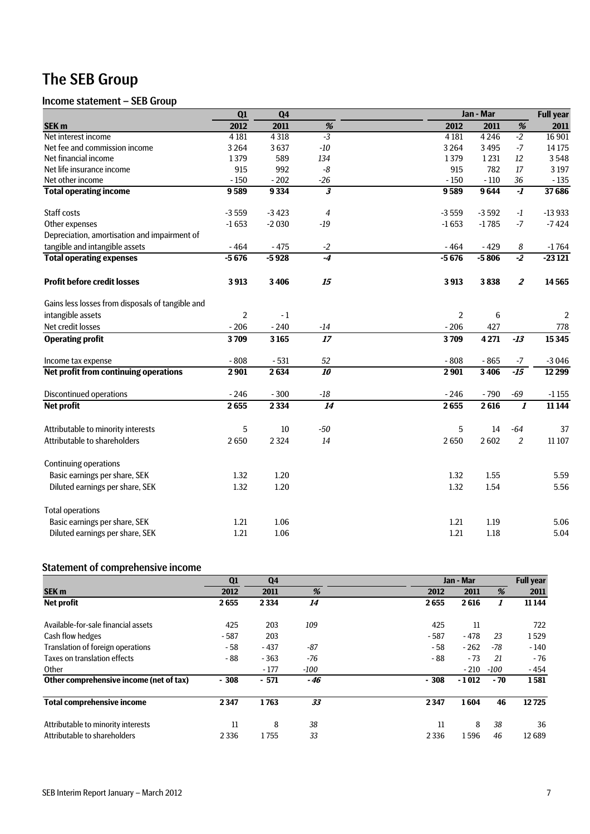## The SEB Group

### Income statement – SEB Group

|                                                  | Q1             | Q <sub>4</sub> |                              | Jan - Mar      | <b>Full year</b> |                  |                         |
|--------------------------------------------------|----------------|----------------|------------------------------|----------------|------------------|------------------|-------------------------|
| SEK <sub>m</sub>                                 | 2012           | 2011           | $\overline{\%}$              | 2012           | 2011             | $\overline{\%}$  | 2011                    |
| Net interest income                              | 4 1 8 1        | 4 3 1 8        | $-3$                         | 4 1 8 1        | 4 2 4 6          | $-2$             | 16 901                  |
| Net fee and commission income                    | 3264           | 3637           | $-10$                        | 3264           | 3 4 9 5          | $-7$             | 14 17 5                 |
| Net financial income                             | 1379           | 589            | 134                          | 1379           | 1231             | 12               | 3548                    |
| Net life insurance income                        | 915            | 992            | -8                           | 915            | 782              | 17               | 3 1 9 7                 |
| Net other income                                 | $-150$         | $-202$         | $-26$                        | $-150$         | $-110$           | 36               | $-135$                  |
| <b>Total operating income</b>                    | 9589           | 9334           | $\overline{\mathbf{3}}$      | 9589           | 9644             | -1               | 37686                   |
| Staff costs                                      | $-3559$        | $-3423$        | 4                            | $-3559$        | $-3592$          | $-1$             | $-13933$                |
| Other expenses                                   | $-1653$        | $-2030$        | $-19$                        | $-1653$        | $-1785$          | $-7$             | $-7424$                 |
| Depreciation, amortisation and impairment of     |                |                |                              |                |                  |                  |                         |
| tangible and intangible assets                   | $-464$         | $-475$         | $-2$                         | $-464$         | $-429$           | 8                | $-1764$                 |
| <b>Total operating expenses</b>                  | $-5676$        | $-5928$        | $-4$                         | $-5676$        | $-5806$          | $-2$             | $-23121$                |
| <b>Profit before credit losses</b>               | 3913           | 3406           | 15                           | 3913           | 3838             | $\boldsymbol{2}$ | 14565                   |
| Gains less losses from disposals of tangible and |                |                |                              |                |                  |                  |                         |
| intangible assets                                | $\overline{2}$ | $-1$           |                              | $\overline{2}$ | 6                |                  | $\overline{\mathbf{c}}$ |
| Net credit losses                                | $-206$         | $-240$         | $-14$                        | $-206$         | 427              |                  | 778                     |
| <b>Operating profit</b>                          | 3709           | 3165           | 17                           | 3709           | 4 2 7 1          | $-13$            | 15 3 45                 |
| Income tax expense                               | $-808$         | $-531$         | 52                           | $-808$         | $-865$           | $-7$             | $-3046$                 |
| Net profit from continuing operations            | 2 9 0 1        | 2634           | $\overline{\boldsymbol{10}}$ | 2 9 0 1        | 3406             | $-15$            | 12 299                  |
| <b>Discontinued operations</b>                   | $-246$         | $-300$         | $-18$                        | $-246$         | $-790$           | $-69$            | $-1155$                 |
| <b>Net profit</b>                                | 2655           | 2 3 3 4        | $\overline{14}$              | 2655           | 2616             | $\boldsymbol{l}$ | 11 144                  |
| Attributable to minority interests               | 5              | 10             | $-50$                        | 5              | 14               | $-64$            | 37                      |
| Attributable to shareholders                     | 2650           | 2 3 2 4        | 14                           | 2650           | 2602             | $\overline{2}$   | 11 107                  |
| <b>Continuing operations</b>                     |                |                |                              |                |                  |                  |                         |
| Basic earnings per share, SEK                    | 1.32           | 1.20           |                              | 1.32           | 1.55             |                  | 5.59                    |
| Diluted earnings per share, SEK                  | 1.32           | 1.20           |                              | 1.32           | 1.54             |                  | 5.56                    |
| <b>Total operations</b>                          |                |                |                              |                |                  |                  |                         |
| Basic earnings per share, SEK                    | 1.21           | 1.06           |                              | 1.21           | 1.19             |                  | 5.06                    |
| Diluted earnings per share, SEK                  | 1.21           | 1.06           |                              | 1.21           | 1.18             |                  | 5.04                    |

### Statement of comprehensive income

|                                         | Q1      | Q <sub>4</sub> |        |        | Jan - Mar |      | <b>Full year</b> |
|-----------------------------------------|---------|----------------|--------|--------|-----------|------|------------------|
| <b>SEK m</b>                            | 2012    | 2011           | %      | 2012   | 2011      | %    | 2011             |
| Net profit                              | 2655    | 2 3 3 4        | 14     | 2655   | 2616      | 1    | 11 144           |
| Available-for-sale financial assets     | 425     | 203            | 109    | 425    | 11        |      | 722              |
| Cash flow hedges                        | $-587$  | 203            |        | $-587$ | $-478$    | 23   | 1529             |
| Translation of foreign operations       | $-58$   | $-437$         | $-87$  | $-58$  | $-262$    | -78  | $-140$           |
| Taxes on translation effects            | $-88$   | $-363$         | $-76$  | $-88$  | $-73$     | 21   | $-76$            |
| Other                                   |         | $-177$         | $-100$ |        | $-210$    | -100 | $-454$           |
| Other comprehensive income (net of tax) | $-308$  | $-571$         | - 46   | $-308$ | $-1012$   | - 70 | 1581             |
| <b>Total comprehensive income</b>       | 2347    | 1763           | 33     | 2347   | 1604      | 46   | 12725            |
| Attributable to minority interests      | 11      | 8              | 38     | 11     | 8         | 38   | 36               |
| Attributable to shareholders            | 2 3 3 6 | 1755           | 33     | 2336   | 1596      | 46   | 12689            |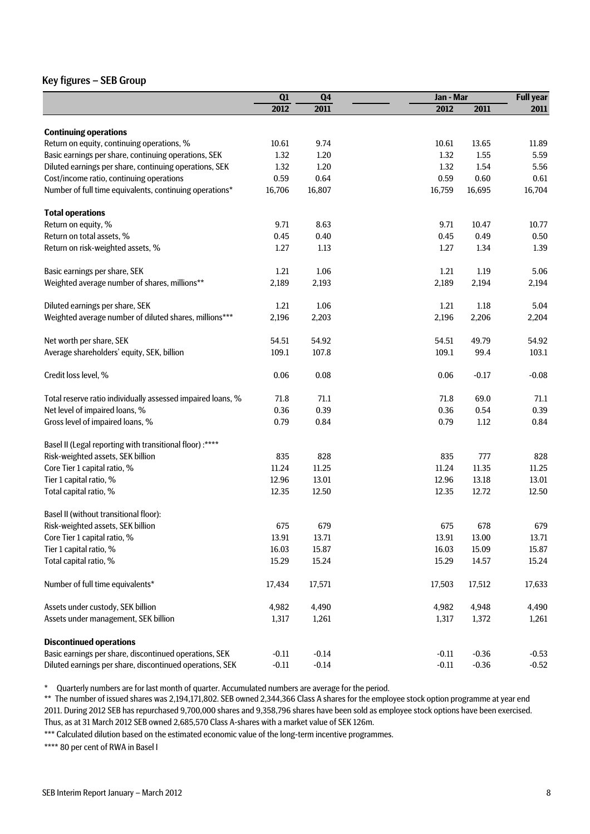### Key figures – SEB Group

|                                                             | Q1      | Q <sub>4</sub> | Jan - Mar |         | <b>Full year</b> |
|-------------------------------------------------------------|---------|----------------|-----------|---------|------------------|
|                                                             | 2012    | 2011           | 2012      | 2011    | 2011             |
|                                                             |         |                |           |         |                  |
| <b>Continuing operations</b>                                |         |                |           |         |                  |
| Return on equity, continuing operations, %                  | 10.61   | 9.74           | 10.61     | 13.65   | 11.89            |
| Basic earnings per share, continuing operations, SEK        | 1.32    | 1.20           | 1.32      | 1.55    | 5.59             |
| Diluted earnings per share, continuing operations, SEK      | 1.32    | 1.20           | 1.32      | 1.54    | 5.56             |
| Cost/income ratio, continuing operations                    | 0.59    | 0.64           | 0.59      | 0.60    | 0.61             |
| Number of full time equivalents, continuing operations*     | 16,706  | 16,807         | 16,759    | 16,695  | 16,704           |
| <b>Total operations</b>                                     |         |                |           |         |                  |
| Return on equity, %                                         | 9.71    | 8.63           | 9.71      | 10.47   | 10.77            |
| Return on total assets, %                                   | 0.45    | 0.40           | 0.45      | 0.49    | 0.50             |
| Return on risk-weighted assets, %                           | 1.27    | 1.13           | 1.27      | 1.34    | 1.39             |
| Basic earnings per share, SEK                               | 1.21    | 1.06           | 1.21      | 1.19    | 5.06             |
| Weighted average number of shares, millions**               | 2,189   | 2,193          | 2,189     | 2,194   | 2,194            |
|                                                             |         |                |           |         |                  |
| Diluted earnings per share, SEK                             | 1.21    | 1.06           | 1.21      | 1.18    | 5.04             |
| Weighted average number of diluted shares, millions***      | 2,196   | 2,203          | 2,196     | 2,206   | 2,204            |
| Net worth per share, SEK                                    | 54.51   | 54.92          | 54.51     | 49.79   | 54.92            |
| Average shareholders' equity, SEK, billion                  | 109.1   | 107.8          | 109.1     | 99.4    | 103.1            |
| Credit loss level, %                                        | 0.06    | 0.08           | 0.06      | $-0.17$ | $-0.08$          |
| Total reserve ratio individually assessed impaired loans, % | 71.8    | 71.1           | 71.8      | 69.0    | 71.1             |
| Net level of impaired loans, %                              | 0.36    | 0.39           | 0.36      | 0.54    | 0.39             |
| Gross level of impaired loans, %                            | 0.79    | 0.84           | 0.79      | $1.12$  | 0.84             |
| Basel II (Legal reporting with transitional floor) :****    |         |                |           |         |                  |
| Risk-weighted assets, SEK billion                           | 835     | 828            | 835       | 777     | 828              |
| Core Tier 1 capital ratio, %                                | 11.24   | 11.25          | 11.24     | 11.35   | 11.25            |
| Tier 1 capital ratio, %                                     | 12.96   | 13.01          | 12.96     | 13.18   | 13.01            |
| Total capital ratio, %                                      | 12.35   | 12.50          | 12.35     | 12.72   | 12.50            |
|                                                             |         |                |           |         |                  |
| Basel II (without transitional floor):                      |         |                |           |         |                  |
| Risk-weighted assets, SEK billion                           | 675     | 679            | 675       | 678     | 679              |
| Core Tier 1 capital ratio, %                                | 13.91   | 13.71          | 13.91     | 13.00   | 13.71            |
| Tier 1 capital ratio, %                                     | 16.03   | 15.87          | 16.03     | 15.09   | 15.87            |
| Total capital ratio, %                                      | 15.29   | 15.24          | 15.29     | 14.57   | 15.24            |
| Number of full time equivalents*                            | 17,434  | 17,571         | 17,503    | 17,512  | 17,633           |
| Assets under custody, SEK billion                           | 4,982   | 4,490          | 4,982     | 4,948   | 4,490            |
| Assets under management, SEK billion                        | 1,317   | 1,261          | 1,317     | 1,372   | 1,261            |
| <b>Discontinued operations</b>                              |         |                |           |         |                  |
| Basic earnings per share, discontinued operations, SEK      | $-0.11$ | $-0.14$        | $-0.11$   | $-0.36$ | $-0.53$          |
| Diluted earnings per share, discontinued operations, SEK    | $-0.11$ | $-0.14$        | $-0.11$   | $-0.36$ | $-0.52$          |

\* Quarterly numbers are for last month of quarter. Accumulated numbers are average for the period.

\*\* The number of issued shares was 2,194,171,802. SEB owned 2,344,366 Class A shares for the employee stock option programme at year end 2011. During 2012 SEB has repurchased 9,700,000 shares and 9,358,796 shares have been sold as employee stock options have been exercised. Thus, as at 31 March 2012 SEB owned 2,685,570 Class A-shares with a market value of SEK 126m.

\*\*\* Calculated dilution based on the estimated economic value of the long-term incentive programmes.

\*\*\*\* 80 per cent of RWA in Basel I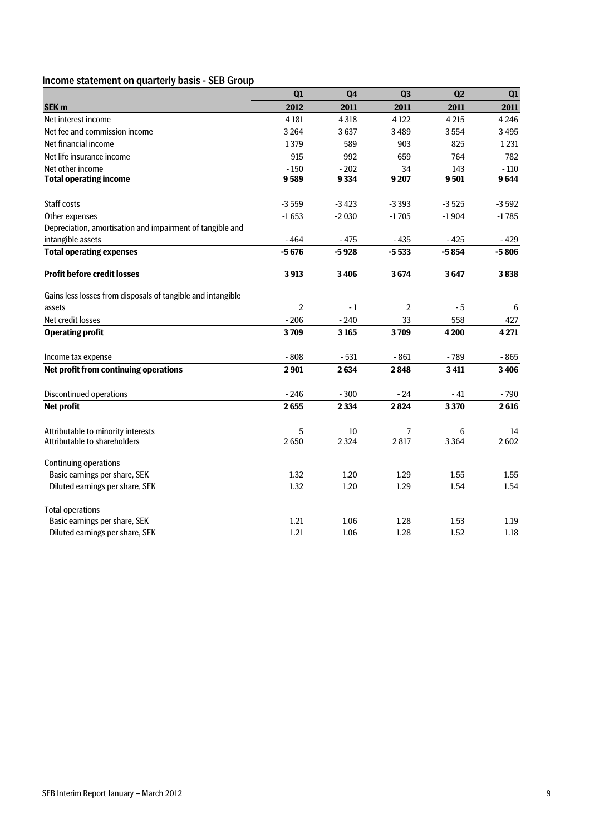## Income statement on quarterly basis - SEB Group

|                                                             | Q1             | Q <sub>4</sub> | Q <sub>3</sub> | Q <sub>2</sub> | Q1      |
|-------------------------------------------------------------|----------------|----------------|----------------|----------------|---------|
| SEK <sub>m</sub>                                            | 2012           | 2011           | 2011           | 2011           | 2011    |
| Net interest income                                         | 4 1 8 1        | 4318           | 4 1 2 2        | 4 2 1 5        | 4246    |
| Net fee and commission income                               | 3264           | 3637           | 3489           | 3554           | 3495    |
| Net financial income                                        | 1379           | 589            | 903            | 825            | 1231    |
| Net life insurance income                                   | 915            | 992            | 659            | 764            | 782     |
| Net other income                                            | $-150$         | $-202$         | 34             | 143            | $-110$  |
| <b>Total operating income</b>                               | 9589           | 9334           | 9 20 7         | 9501           | 9644    |
| <b>Staff costs</b>                                          | $-3559$        | $-3423$        | $-3393$        | $-3525$        | $-3592$ |
| Other expenses                                              | $-1653$        | $-2030$        | $-1705$        | $-1904$        | $-1785$ |
| Depreciation, amortisation and impairment of tangible and   |                |                |                |                |         |
| intangible assets                                           | $-464$         | $-475$         | $-435$         | $-425$         | $-429$  |
| <b>Total operating expenses</b>                             | $-5676$        | $-5928$        | $-5533$        | $-5854$        | $-5806$ |
| <b>Profit before credit losses</b>                          | 3913           | 3406           | 3674           | 3647           | 3838    |
| Gains less losses from disposals of tangible and intangible |                |                |                |                |         |
| assets                                                      | $\overline{2}$ | $-1$           | 2              | $-5$           | 6       |
| Net credit losses                                           | $-206$         | $-240$         | 33             | 558            | 427     |
| <b>Operating profit</b>                                     | 3709           | 3165           | 3709           | 4 2 0 0        | 4271    |
| Income tax expense                                          | $-808$         | $-531$         | $-861$         | $-789$         | - 865   |
| Net profit from continuing operations                       | 2901           | 2634           | 2848           | 3411           | 3406    |
| <b>Discontinued operations</b>                              | $-246$         | $-300$         | $-24$          | $-41$          | $-790$  |
| <b>Net profit</b>                                           | 2655           | 2334           | 2824           | 3370           | 2616    |
| Attributable to minority interests                          | 5              | 10             | 7              | 6              | 14      |
| Attributable to shareholders                                | 2650           | 2 3 2 4        | 2817           | 3364           | 2602    |
| <b>Continuing operations</b>                                |                |                |                |                |         |
| Basic earnings per share, SEK                               | 1.32           | 1.20           | 1.29           | 1.55           | 1.55    |
| Diluted earnings per share, SEK                             | 1.32           | 1.20           | 1.29           | 1.54           | 1.54    |
| <b>Total operations</b>                                     |                |                |                |                |         |
| Basic earnings per share, SEK                               | 1.21           | 1.06           | 1.28           | 1.53           | 1.19    |
| Diluted earnings per share, SEK                             | 1.21           | 1.06           | 1.28           | 1.52           | 1.18    |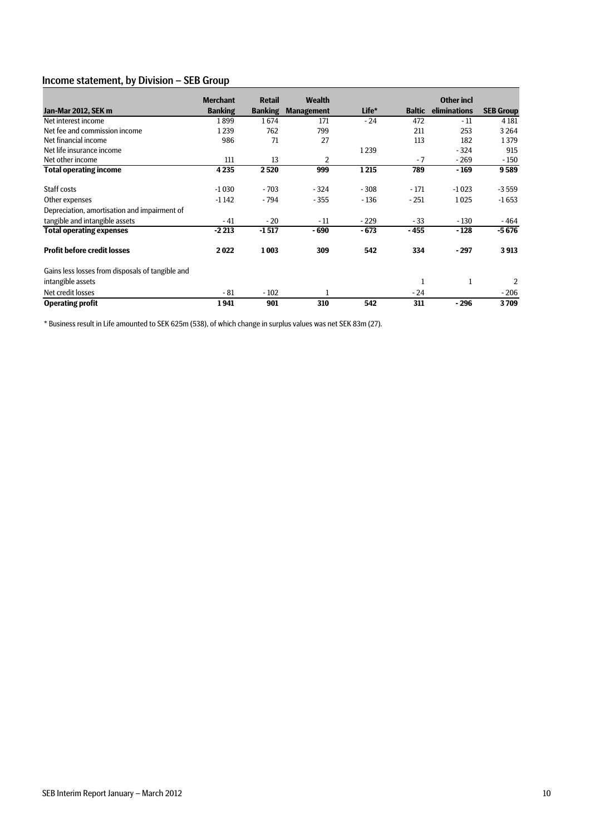### Income statement, by Division – SEB Group

|                                                  | <b>Merchant</b> | <b>Retail</b>  | <b>Wealth</b>     |        |               | <b>Other incl</b> |                  |
|--------------------------------------------------|-----------------|----------------|-------------------|--------|---------------|-------------------|------------------|
| <b>Jan-Mar 2012, SEK m</b>                       | <b>Banking</b>  | <b>Banking</b> | <b>Management</b> | Life*  | <b>Baltic</b> | eliminations      | <b>SEB Group</b> |
| Net interest income                              | 1899            | 1674           | 171               | $-24$  | 472           | $-11$             | 4 1 8 1          |
| Net fee and commission income                    | 1239            | 762            | 799               |        | 211           | 253               | 3 2 6 4          |
| Net financial income                             | 986             | 71             | 27                |        | 113           | 182               | 1379             |
| Net life insurance income                        |                 |                |                   | 1239   |               | $-324$            | 915              |
| Net other income                                 | 111             | 13             | $\overline{2}$    |        | $-7$          | $-269$            | $-150$           |
| <b>Total operating income</b>                    | 4235            | 2520           | 999               | 1215   | 789           | $-169$            | 9589             |
| Staff costs                                      | $-1030$         | $-703$         | $-324$            | $-308$ | $-171$        | $-1023$           | $-3559$          |
| Other expenses                                   | $-1142$         | $-794$         | $-355$            | $-136$ | $-251$        | 1025              | $-1653$          |
| Depreciation, amortisation and impairment of     |                 |                |                   |        |               |                   |                  |
| tangible and intangible assets                   | - 41            | $-20$          | $-11$             | $-229$ | - 33          | $-130$            | - 464            |
| <b>Total operating expenses</b>                  | $-2213$         | $-1517$        | - 690             | $-673$ | - 455         | $-128$            | $-5676$          |
| <b>Profit before credit losses</b>               | 2022            | 1003           | 309               | 542    | 334           | $-297$            | 3913             |
| Gains less losses from disposals of tangible and |                 |                |                   |        |               |                   |                  |
| intangible assets                                |                 |                |                   |        | 1             | 1                 | 2                |
| Net credit losses                                | - 81            | $-102$         |                   |        | $-24$         |                   | $-206$           |
| <b>Operating profit</b>                          | 1941            | 901            | 310               | 542    | 311           | $-296$            | 3709             |

\* Business result in Life amounted to SEK 625m (538), of which change in surplus values was net SEK 83m (27).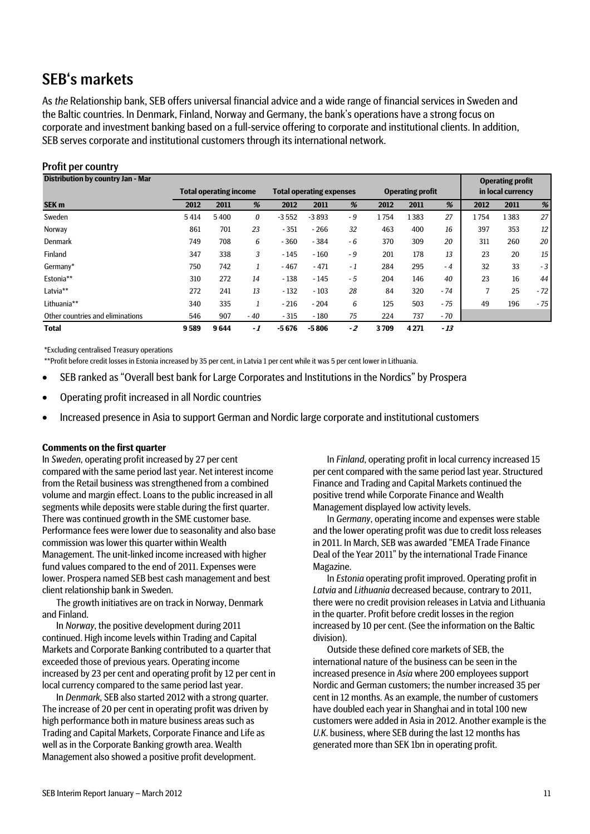## SEB's markets

As *the* Relationship bank, SEB offers universal financial advice and a wide range of financial services in Sweden and the Baltic countries. In Denmark, Finland, Norway and Germany, the bank's operations have a strong focus on corporate and investment banking based on a full-service offering to corporate and institutional clients. In addition, SEB serves corporate and institutional customers through its international network.

| TUIL DUI GUUILI Y                        |      |                               |      |         |                                 |      |      |                         |       |      |                         |       |
|------------------------------------------|------|-------------------------------|------|---------|---------------------------------|------|------|-------------------------|-------|------|-------------------------|-------|
| <b>Distribution by country Jan - Mar</b> |      |                               |      |         |                                 |      |      |                         |       |      | <b>Operating profit</b> |       |
|                                          |      | <b>Total operating income</b> |      |         | <b>Total operating expenses</b> |      |      | <b>Operating profit</b> |       |      | in local currency       |       |
| SEK <sub>m</sub>                         | 2012 | 2011                          | %    | 2012    | 2011                            | %    | 2012 | 2011                    | %     | 2012 | 2011                    | %     |
| Sweden                                   | 5414 | 5400                          | 0    | $-3552$ | $-3893$                         | $-9$ | 1754 | 1383                    | 27    | 1754 | 1383                    | 27    |
| Norway                                   | 861  | 701                           | 23   | $-351$  | $-266$                          | 32   | 463  | 400                     | 16    | 397  | 353                     | 12    |
| <b>Denmark</b>                           | 749  | 708                           | 6    | $-360$  | $-384$                          | $-6$ | 370  | 309                     | 20    | 311  | 260                     | 20    |
| Finland                                  | 347  | 338                           | 3    | $-145$  | $-160$                          | - 9  | 201  | 178                     | 13    | 23   | 20                      | 15    |
| Germany*                                 | 750  | 742                           | 1    | $-467$  | $-471$                          | $-1$ | 284  | 295                     | $-4$  | 32   | 33                      | $-3$  |
| Estonia**                                | 310  | 272                           | 14   | $-138$  | $-145$                          | $-5$ | 204  | 146                     | 40    | 23   | 16                      | 44    |
| Latvia**                                 | 272  | 241                           | 13   | $-132$  | $-103$                          | 28   | 84   | 320                     | $-74$ |      | 25                      | - 72  |
| Lithuania**                              | 340  | 335                           | 1    | $-216$  | $-204$                          | 6    | 125  | 503                     | $-75$ | 49   | 196                     | $-75$ |
| Other countries and eliminations         | 546  | 907                           | - 40 | $-315$  | $-180$                          | 75   | 224  | 737                     | - 70  |      |                         |       |
| <b>Total</b>                             | 9589 | 9644                          | - 1  | $-5676$ | $-5806$                         | -2   | 3709 | 4 2 7 1                 | $-13$ |      |                         |       |

### Profit per country

\*Excluding centralised Treasury operations

\*\*Profit before credit losses in Estonia increased by 35 per cent, in Latvia 1 per cent while it was 5 per cent lower in Lithuania.

- SEB ranked as "Overall best bank for Large Corporates and Institutions in the Nordics" by Prospera
- Operating profit increased in all Nordic countries
- Increased presence in Asia to support German and Nordic large corporate and institutional customers

### **Comments on the first quarter**

In *Sweden,* operating profit increased by 27 per cent compared with the same period last year. Net interest income from the Retail business was strengthened from a combined volume and margin effect. Loans to the public increased in all segments while deposits were stable during the first quarter. There was continued growth in the SME customer base. Performance fees were lower due to seasonality and also base commission was lower this quarter within Wealth Management. The unit-linked income increased with higher fund values compared to the end of 2011. Expenses were lower. Prospera named SEB best cash management and best client relationship bank in Sweden.

The growth initiatives are on track in Norway, Denmark and Finland.

In *Norway*, the positive development during 2011 continued. High income levels within Trading and Capital Markets and Corporate Banking contributed to a quarter that exceeded those of previous years. Operating income increased by 23 per cent and operating profit by 12 per cent in local currency compared to the same period last year.

In *Denmark*, SEB also started 2012 with a strong quarter. The increase of 20 per cent in operating profit was driven by high performance both in mature business areas such as Trading and Capital Markets, Corporate Finance and Life as well as in the Corporate Banking growth area. Wealth Management also showed a positive profit development.

In *Finland*, operating profit in local currency increased 15 per cent compared with the same period last year. Structured Finance and Trading and Capital Markets continued the positive trend while Corporate Finance and Wealth Management displayed low activity levels.

In *Germany*, operating income and expenses were stable and the lower operating profit was due to credit loss releases in 2011. In March, SEB was awarded "EMEA Trade Finance Deal of the Year 2011" by the international Trade Finance Magazine.

In *Estonia* operating profit improved. Operating profit in *Latvia* and *Lithuania* decreased because, contrary to 2011, there were no credit provision releases in Latvia and Lithuania in the quarter. Profit before credit losses in the region increased by 10 per cent. (See the information on the Baltic division).

Outside these defined core markets of SEB, the international nature of the business can be seen in the increased presence in *Asia* where 200 employees support Nordic and German customers; the number increased 35 per cent in 12 months. As an example, the number of customers have doubled each year in Shanghai and in total 100 new customers were added in Asia in 2012. Another example is the *U.K*. business, where SEB during the last 12 months has generated more than SEK 1bn in operating profit.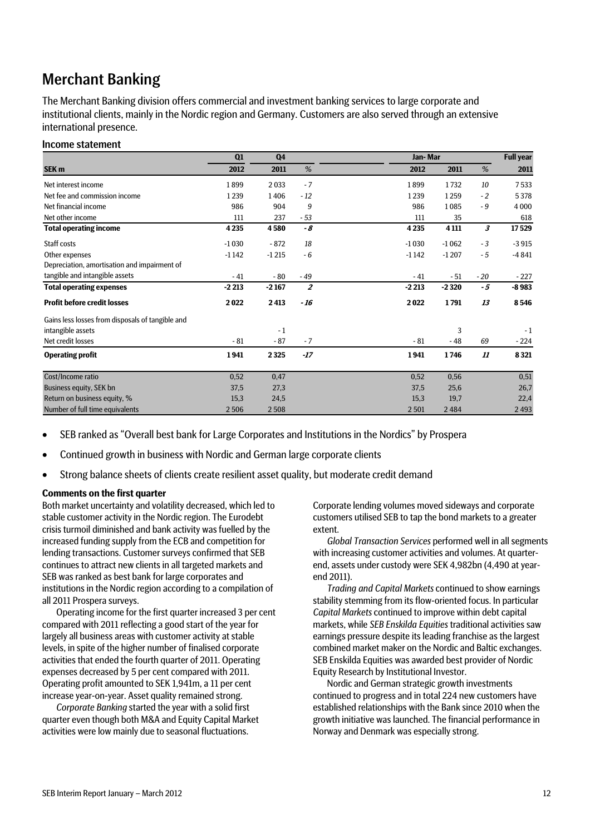## Merchant Banking

The Merchant Banking division offers commercial and investment banking services to large corporate and institutional clients, mainly in the Nordic region and Germany. Customers are also served through an extensive international presence.

### Income statement

|                                                  | Q1<br>Q <sub>4</sub> |         |                | Jan-Mar |         | <b>Full year</b> |         |
|--------------------------------------------------|----------------------|---------|----------------|---------|---------|------------------|---------|
| SEK <sub>m</sub>                                 | 2012                 | 2011    | %              | 2012    | 2011    | %                | 2011    |
| Net interest income                              | 1899                 | 2033    | $-7$           | 1899    | 1732    | 10               | 7533    |
| Net fee and commission income                    | 1239                 | 1406    | $-12$          | 1239    | 1259    | $-2$             | 5378    |
| Net financial income                             | 986                  | 904     | 9              | 986     | 1085    | $-9$             | 4000    |
| Net other income                                 | 111                  | 237     | $-53$          | 111     | 35      |                  | 618     |
| <b>Total operating income</b>                    | 4 2 3 5              | 4580    | - 8            | 4235    | 4 1 1 1 | 3                | 17529   |
| Staff costs                                      | $-1030$              | $-872$  | 18             | $-1030$ | $-1062$ | $-3$             | $-3915$ |
| Other expenses                                   | $-1142$              | $-1215$ | $-6$           | $-1142$ | $-1207$ | $-5$             | $-4841$ |
| Depreciation, amortisation and impairment of     |                      |         |                |         |         |                  |         |
| tangible and intangible assets                   | $-41$                | $-80$   | - 49           | $-41$   | $-51$   | $-20$            | $-227$  |
| <b>Total operating expenses</b>                  | $-2213$              | $-2167$ | $\overline{2}$ | $-2213$ | $-2320$ | - 5              | $-8983$ |
| <b>Profit before credit losses</b>               | 2022                 | 2413    | - 16           | 2022    | 1791    | 13               | 8546    |
| Gains less losses from disposals of tangible and |                      |         |                |         |         |                  |         |
| intangible assets                                |                      | $-1$    |                |         | 3       |                  | $-1$    |
| Net credit losses                                | $-81$                | $-87$   | $-7$           | $-81$   | $-48$   | 69               | $-224$  |
| <b>Operating profit</b>                          | 1941                 | 2 3 2 5 | $-17$          | 1941    | 1746    | 11               | 8321    |
| Cost/Income ratio                                | 0,52                 | 0,47    |                | 0,52    | 0,56    |                  | 0,51    |
| Business equity, SEK bn                          | 37,5                 | 27,3    |                | 37,5    | 25,6    |                  | 26,7    |
| Return on business equity, %                     | 15,3                 | 24,5    |                | 15,3    | 19,7    |                  | 22,4    |
| Number of full time equivalents                  | 2506                 | 2508    |                | 2501    | 2484    |                  | 2493    |

• SEB ranked as "Overall best bank for Large Corporates and Institutions in the Nordics" by Prospera

• Continued growth in business with Nordic and German large corporate clients

• Strong balance sheets of clients create resilient asset quality, but moderate credit demand

### **Comments on the first quarter**

Both market uncertainty and volatility decreased, which led to stable customer activity in the Nordic region. The Eurodebt crisis turmoil diminished and bank activity was fuelled by the increased funding supply from the ECB and competition for lending transactions. Customer surveys confirmed that SEB continues to attract new clients in all targeted markets and SEB was ranked as best bank for large corporates and institutions in the Nordic region according to a compilation of all 2011 Prospera surveys.

Operating income for the first quarter increased 3 per cent compared with 2011 reflecting a good start of the year for largely all business areas with customer activity at stable levels, in spite of the higher number of finalised corporate activities that ended the fourth quarter of 2011. Operating expenses decreased by 5 per cent compared with 2011. Operating profit amounted to SEK 1,941m, a 11 per cent increase year-on-year. Asset quality remained strong.

*Corporate Banking* started the year with a solid first quarter even though both M&A and Equity Capital Market activities were low mainly due to seasonal fluctuations.

Corporate lending volumes moved sideways and corporate customers utilised SEB to tap the bond markets to a greater extent.

*Global Transaction Services* performed well in all segments with increasing customer activities and volumes. At quarterend, assets under custody were SEK 4,982bn (4,490 at yearend 2011).

*Trading and Capital Markets* continued to show earnings stability stemming from its flow-oriented focus. In particular *Capital Markets* continued to improve within debt capital markets, while *SEB Enskilda Equities* traditional activities saw earnings pressure despite its leading franchise as the largest combined market maker on the Nordic and Baltic exchanges. SEB Enskilda Equities was awarded best provider of Nordic Equity Research by Institutional Investor.

Nordic and German strategic growth investments continued to progress and in total 224 new customers have established relationships with the Bank since 2010 when the growth initiative was launched. The financial performance in Norway and Denmark was especially strong.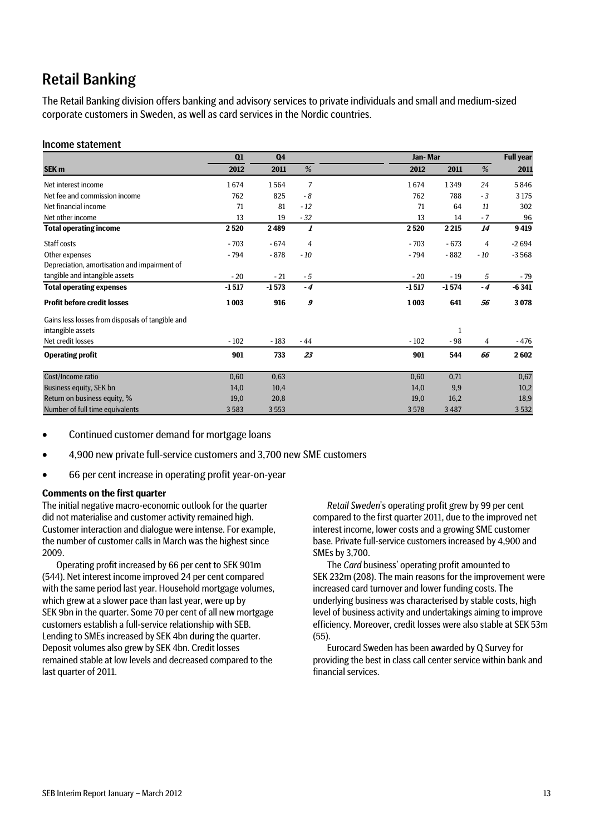## Retail Banking

The Retail Banking division offers banking and advisory services to private individuals and small and medium-sized corporate customers in Sweden, as well as card services in the Nordic countries.

### Income statement

|                                                                       | Q1<br>Q <sub>4</sub> |         |                | Jan-Mar | <b>Full year</b> |                |         |
|-----------------------------------------------------------------------|----------------------|---------|----------------|---------|------------------|----------------|---------|
| SEK <sub>m</sub>                                                      | 2012                 | 2011    | %              | 2012    | 2011             | %              | 2011    |
| Net interest income                                                   | 1674                 | 1564    | 7              | 1674    | 1349             | 24             | 5846    |
| Net fee and commission income                                         | 762                  | 825     | - 8            | 762     | 788              | $-3$           | 3 1 7 5 |
| Net financial income                                                  | 71                   | 81      | $-12$          | 71      | 64               | 11             | 302     |
| Net other income                                                      | 13                   | 19      | $-32$          | 13      | 14               | $-7$           | 96      |
| <b>Total operating income</b>                                         | 2520                 | 2489    | 1              | 2520    | 2 2 1 5          | 14             | 9419    |
| Staff costs                                                           | $-703$               | $-674$  | $\overline{4}$ | $-703$  | $-673$           | $\overline{4}$ | $-2694$ |
| Other expenses                                                        | $-794$               | $-878$  | $-10$          | $-794$  | $-882$           | $-10$          | $-3568$ |
| Depreciation, amortisation and impairment of                          |                      |         |                |         |                  |                |         |
| tangible and intangible assets                                        | $-20$                | $-21$   | $-5$           | $-20$   | $-19$            | 5              | - 79    |
| <b>Total operating expenses</b>                                       | $-1517$              | $-1573$ | $-4$           | $-1517$ | $-1574$          | $-4$           | $-6341$ |
| <b>Profit before credit losses</b>                                    | 1003                 | 916     | 9              | 1003    | 641              | 56             | 3078    |
| Gains less losses from disposals of tangible and<br>intangible assets |                      |         |                |         | 1                |                |         |
| Net credit losses                                                     | $-102$               | $-183$  | $-44$          | $-102$  | $-98$            | 4              | - 476   |
| <b>Operating profit</b>                                               | 901                  | 733     | 23             | 901     | 544              | 66             | 2602    |
| Cost/Income ratio                                                     | 0,60                 | 0,63    |                | 0,60    | 0,71             |                | 0,67    |
| Business equity, SEK bn                                               | 14,0                 | 10,4    |                | 14,0    | 9,9              |                | 10,2    |
| Return on business equity, %                                          | 19,0                 | 20,8    |                | 19,0    | 16,2             |                | 18,9    |
| Number of full time equivalents                                       | 3583                 | 3553    |                | 3578    | 3 4 8 7          |                | 3532    |

- Continued customer demand for mortgage loans
- 4,900 new private full-service customers and 3,700 new SME customers
- 66 per cent increase in operating profit year-on-year

### **Comments on the first quarter**

The initial negative macro-economic outlook for the quarter did not materialise and customer activity remained high. Customer interaction and dialogue were intense. For example, the number of customer calls in March was the highest since 2009.

Operating profit increased by 66 per cent to SEK 901m (544). Net interest income improved 24 per cent compared with the same period last year. Household mortgage volumes, which grew at a slower pace than last year, were up by SEK 9bn in the quarter. Some 70 per cent of all new mortgage customers establish a full-service relationship with SEB. Lending to SMEs increased by SEK 4bn during the quarter. Deposit volumes also grew by SEK 4bn. Credit losses remained stable at low levels and decreased compared to the last quarter of 2011.

*Retail Sweden*'s operating profit grew by 99 per cent compared to the first quarter 2011, due to the improved net interest income, lower costs and a growing SME customer base. Private full-service customers increased by 4,900 and SMEs by 3,700.

The *Card* business' operating profit amounted to SEK 232m (208). The main reasons for the improvement were increased card turnover and lower funding costs. The underlying business was characterised by stable costs, high level of business activity and undertakings aiming to improve efficiency. Moreover, credit losses were also stable at SEK 53m (55).

Eurocard Sweden has been awarded by Q Survey for providing the best in class call center service within bank and financial services.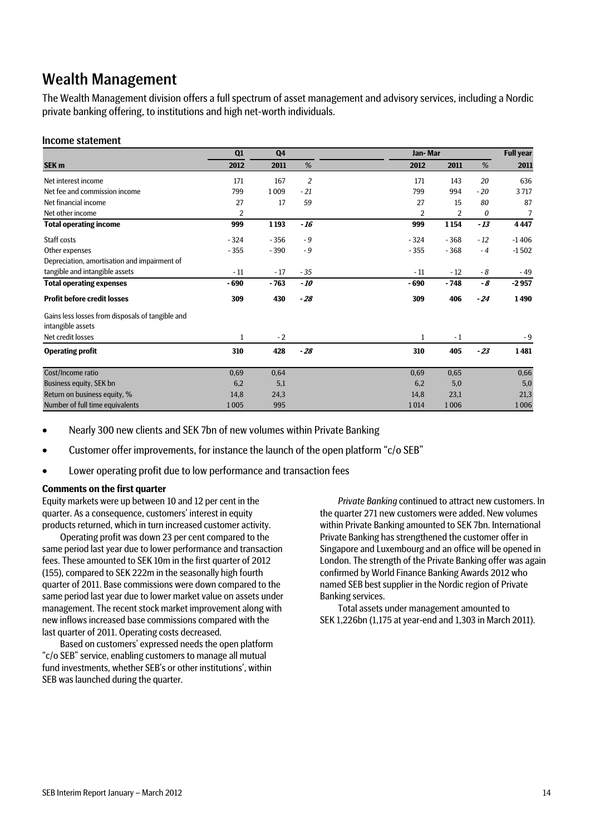## Wealth Management

The Wealth Management division offers a full spectrum of asset management and advisory services, including a Nordic private banking offering, to institutions and high net-worth individuals.

### Income statement

|                                                  | Q1             | Q <sub>4</sub> |                | Jan-Mar        | <b>Full year</b> |       |         |
|--------------------------------------------------|----------------|----------------|----------------|----------------|------------------|-------|---------|
| <b>SEK m</b>                                     | 2012           | 2011           | %              | 2012           | 2011             | %     | 2011    |
| Net interest income                              | 171            | 167            | $\overline{2}$ | 171            | 143              | 20    | 636     |
| Net fee and commission income                    | 799            | 1009           | $-21$          | 799            | 994              | $-20$ | 3717    |
| Net financial income                             | 27             | 17             | 59             | 27             | 15               | 80    | 87      |
| Net other income                                 | $\overline{2}$ |                |                | $\overline{2}$ | 2                | 0     | 7       |
| <b>Total operating income</b>                    | 999            | 1 1 9 3        | - 16           | 999            | 1 1 5 4          | $-13$ | 4447    |
| Staff costs                                      | $-324$         | $-356$         | - 9            | $-324$         | $-368$           | $-12$ | $-1406$ |
| Other expenses                                   | $-355$         | $-390$         | - 9            | $-355$         | $-368$           | $-4$  | $-1502$ |
| Depreciation, amortisation and impairment of     |                |                |                |                |                  |       |         |
| tangible and intangible assets                   | $-11$          | $-17$          | $-35$          | $-11$          | $-12$            | - 8   | - 49    |
| <b>Total operating expenses</b>                  | $-690$         | $-763$         | $-10$          | - 690          | $-748$           | - 8   | $-2957$ |
| <b>Profit before credit losses</b>               | 309            | 430            | $-28$          | 309            | 406              | $-24$ | 1490    |
| Gains less losses from disposals of tangible and |                |                |                |                |                  |       |         |
| intangible assets                                |                |                |                |                |                  |       |         |
| Net credit losses                                | 1              | $-2$           |                | 1              | $-1$             |       | - 9     |
| <b>Operating profit</b>                          | 310            | 428            | $-28$          | 310            | 405              | $-23$ | 1481    |
| Cost/Income ratio                                | 0,69           | 0,64           |                | 0,69           | 0,65             |       | 0,66    |
| Business equity, SEK bn                          | 6,2            | 5,1            |                | 6,2            | 5,0              |       | 5,0     |
| Return on business equity, %                     | 14,8           | 24,3           |                | 14,8           | 23,1             |       | 21,3    |
| Number of full time equivalents                  | 1005           | 995            |                | 1014           | 1006             |       | 1006    |

• Nearly 300 new clients and SEK 7bn of new volumes within Private Banking

• Customer offer improvements, for instance the launch of the open platform "c/o SEB"

• Lower operating profit due to low performance and transaction fees

### **Comments on the first quarter**

Equity markets were up between 10 and 12 per cent in the quarter. As a consequence, customers' interest in equity products returned, which in turn increased customer activity.

Operating profit was down 23 per cent compared to the same period last year due to lower performance and transaction fees. These amounted to SEK 10m in the first quarter of 2012 (155), compared to SEK 222m in the seasonally high fourth quarter of 2011. Base commissions were down compared to the same period last year due to lower market value on assets under management. The recent stock market improvement along with new inflows increased base commissions compared with the last quarter of 2011. Operating costs decreased.

Based on customers' expressed needs the open platform "c/o SEB" service, enabling customers to manage all mutual fund investments, whether SEB's or other institutions', within SEB was launched during the quarter.

*Private Banking* continued to attract new customers. In the quarter 271 new customers were added. New volumes within Private Banking amounted to SEK 7bn. International Private Banking has strengthened the customer offer in Singapore and Luxembourg and an office will be opened in London. The strength of the Private Banking offer was again confirmed by World Finance Banking Awards 2012 who named SEB best supplier in the Nordic region of Private Banking services.

Total assets under management amounted to SEK 1,226bn (1,175 at year-end and 1,303 in March 2011).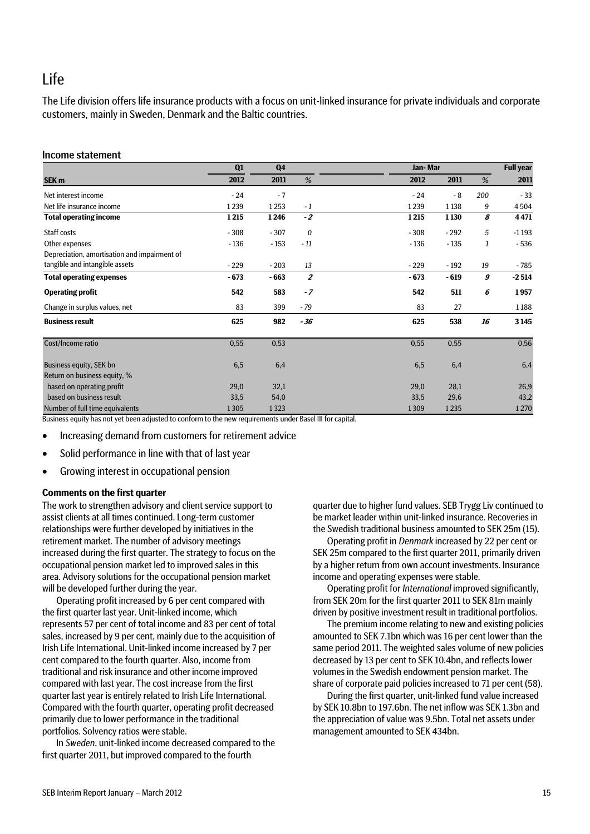## Life

The Life division offers life insurance products with a focus on unit-linked insurance for private individuals and corporate customers, mainly in Sweden, Denmark and the Baltic countries.

### Income statement

|                                              | Q1     | Q <sub>4</sub> |                  |        | Jan-Mar |     |         |
|----------------------------------------------|--------|----------------|------------------|--------|---------|-----|---------|
| SEK <sub>m</sub>                             | 2012   | 2011           | %                | 2012   | 2011    | %   | 2011    |
| Net interest income                          | $-24$  | $-7$           |                  | $-24$  | $-8$    | 200 | $-33$   |
| Net life insurance income                    | 1239   | 1253           | $-1$             | 1239   | 1 1 38  | 9   | 4504    |
| <b>Total operating income</b>                | 1215   | 1246           | $-2$             | 1215   | 1 1 3 0 | 8   | 4471    |
| Staff costs                                  | $-308$ | $-307$         | 0                | $-308$ | $-292$  | 5   | $-1193$ |
| Other expenses                               | $-136$ | $-153$         | $-11$            | $-136$ | $-135$  | 1   | - 536   |
| Depreciation, amortisation and impairment of |        |                |                  |        |         |     |         |
| tangible and intangible assets               | $-229$ | $-203$         | 13               | $-229$ | $-192$  | 19  | $-785$  |
| <b>Total operating expenses</b>              | $-673$ | $-663$         | $\boldsymbol{z}$ | $-673$ | $-619$  | 9   | $-2514$ |
| <b>Operating profit</b>                      | 542    | 583            | $-7$             | 542    | 511     | 6   | 1957    |
| Change in surplus values, net                | 83     | 399            | $-79$            | 83     | 27      |     | 1188    |
| <b>Business result</b>                       | 625    | 982            | $-36$            | 625    | 538     | 16  | 3 1 4 5 |
| Cost/Income ratio                            | 0,55   | 0,53           |                  | 0,55   | 0,55    |     | 0,56    |
| Business equity, SEK bn                      | 6,5    | 6,4            |                  | 6,5    | 6,4     |     | 6,4     |
| Return on business equity, %                 |        |                |                  |        |         |     |         |
| based on operating profit                    | 29,0   | 32,1           |                  | 29,0   | 28,1    |     | 26,9    |
| based on business result                     | 33,5   | 54,0           |                  | 33,5   | 29,6    |     | 43,2    |
| Number of full time equivalents              | 1305   | 1323           |                  | 1309   | 1235    |     | 1270    |

Business equity has not yet been adjusted to conform to the new requirements under Basel III for capital.

- Increasing demand from customers for retirement advice
- Solid performance in line with that of last year
- Growing interest in occupational pension

#### **Comments on the first quarter**

The work to strengthen advisory and client service support to assist clients at all times continued. Long-term customer relationships were further developed by initiatives in the retirement market. The number of advisory meetings increased during the first quarter. The strategy to focus on the occupational pension market led to improved sales in this area. Advisory solutions for the occupational pension market will be developed further during the year.

Operating profit increased by 6 per cent compared with the first quarter last year. Unit-linked income, which represents 57 per cent of total income and 83 per cent of total sales, increased by 9 per cent, mainly due to the acquisition of Irish Life International. Unit-linked income increased by 7 per cent compared to the fourth quarter. Also, income from traditional and risk insurance and other income improved compared with last year. The cost increase from the first quarter last year is entirely related to Irish Life International. Compared with the fourth quarter, operating profit decreased primarily due to lower performance in the traditional portfolios. Solvency ratios were stable.

In *Sweden*, unit-linked income decreased compared to the first quarter 2011, but improved compared to the fourth

quarter due to higher fund values. SEB Trygg Liv continued to be market leader within unit-linked insurance. Recoveries in the Swedish traditional business amounted to SEK 25m (15).

Operating profit in *Denmark* increased by 22 per cent or SEK 25m compared to the first quarter 2011, primarily driven by a higher return from own account investments. Insurance income and operating expenses were stable.

Operating profit for *International* improved significantly, from SEK 20m for the first quarter 2011 to SEK 81m mainly driven by positive investment result in traditional portfolios.

The premium income relating to new and existing policies amounted to SEK 7.1bn which was 16 per cent lower than the same period 2011. The weighted sales volume of new policies decreased by 13 per cent to SEK 10.4bn, and reflects lower volumes in the Swedish endowment pension market. The share of corporate paid policies increased to 71 per cent (58).

During the first quarter, unit-linked fund value increased by SEK 10.8bn to 197.6bn. The net inflow was SEK 1.3bn and the appreciation of value was 9.5bn. Total net assets under management amounted to SEK 434bn.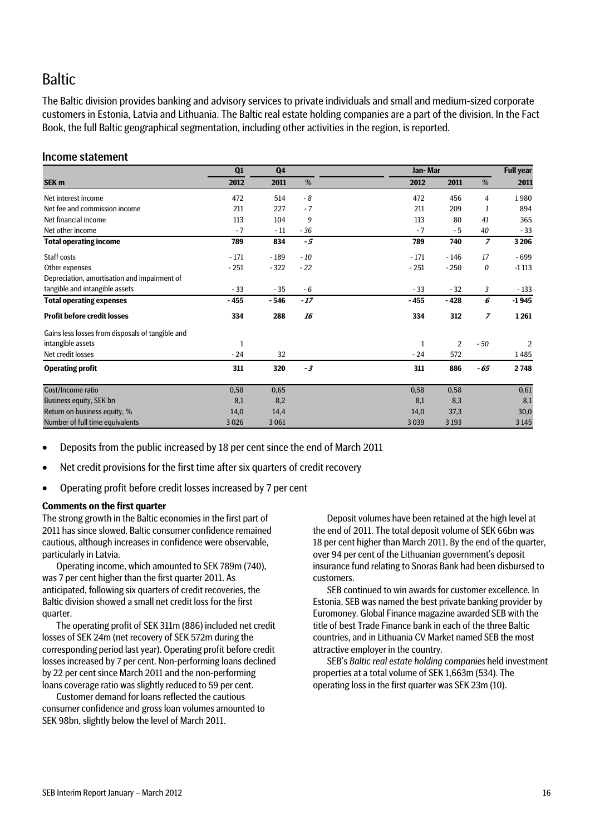## Baltic

The Baltic division provides banking and advisory services to private individuals and small and medium-sized corporate customers in Estonia, Latvia and Lithuania. The Baltic real estate holding companies are a part of the division. In the Fact Book, the full Baltic geographical segmentation, including other activities in the region, is reported.

### Income statement

|                                                  | Q1<br>Q <sub>4</sub> |         |       | Jan-Mar | <b>Full year</b> |                |                |
|--------------------------------------------------|----------------------|---------|-------|---------|------------------|----------------|----------------|
| SEK <sub>m</sub>                                 | 2012                 | 2011    | %     | 2012    | 2011             | %              | 2011           |
| Net interest income                              | 472                  | 514     | - 8   | 472     | 456              | $\overline{4}$ | 1980           |
| Net fee and commission income                    | 211                  | 227     | $-7$  | 211     | 209              | 1              | 894            |
| Net financial income                             | 113                  | 104     | 9     | 113     | 80               | 41             | 365            |
| Net other income                                 | $-7$                 | $-11$   | $-36$ | $-7$    | $-5$             | 40             | $-33$          |
| <b>Total operating income</b>                    | 789                  | 834     | $-5$  | 789     | 740              | $\overline{z}$ | 3 2 0 6        |
| Staff costs                                      | $-171$               | $-189$  | $-10$ | $-171$  | $-146$           | 17             | $-699$         |
| Other expenses                                   | $-251$               | $-322$  | $-22$ | $-251$  | $-250$           | 0              | $-1113$        |
| Depreciation, amortisation and impairment of     |                      |         |       |         |                  |                |                |
| tangible and intangible assets                   | $-33$                | $-35$   | $-6$  | $-33$   | $-32$            | 3              | $-133$         |
| <b>Total operating expenses</b>                  | $-455$               | $-546$  | $-17$ | $-455$  | - 428            | 6              | $-1945$        |
| <b>Profit before credit losses</b>               | 334                  | 288     | 16    | 334     | 312              | Z              | 1261           |
| Gains less losses from disposals of tangible and |                      |         |       |         |                  |                |                |
| intangible assets                                | 1                    |         |       | 1       | 2                | $-50$          | $\overline{2}$ |
| Net credit losses                                | $-24$                | 32      |       | $-24$   | 572              |                | 1485           |
| <b>Operating profit</b>                          | 311                  | 320     | $-3$  | 311     | 886              | - 65           | 2748           |
| Cost/Income ratio                                | 0,58                 | 0,65    |       | 0,58    | 0,58             |                | 0,61           |
| Business equity, SEK bn                          | 8,1                  | 8,2     |       | 8,1     | 8,3              |                | 8,1            |
| Return on business equity, %                     | 14,0                 | 14,4    |       | 14,0    | 37,3             |                | 30,0           |
| Number of full time equivalents                  | 3026                 | 3 0 6 1 |       | 3039    | 3 1 9 3          |                | 3 1 4 5        |

- Deposits from the public increased by 18 per cent since the end of March 2011
- Net credit provisions for the first time after six quarters of credit recovery
- Operating profit before credit losses increased by 7 per cent

### **Comments on the first quarter**

The strong growth in the Baltic economies in the first part of 2011 has since slowed. Baltic consumer confidence remained cautious, although increases in confidence were observable, particularly in Latvia.

Operating income, which amounted to SEK 789m (740), was 7 per cent higher than the first quarter 2011. As anticipated, following six quarters of credit recoveries, the Baltic division showed a small net credit loss for the first quarter.

The operating profit of SEK 311m (886) included net credit losses of SEK 24m (net recovery of SEK 572m during the corresponding period last year). Operating profit before credit losses increased by 7 per cent. Non-performing loans declined by 22 per cent since March 2011 and the non-performing loans coverage ratio was slightly reduced to 59 per cent.

Customer demand for loans reflected the cautious consumer confidence and gross loan volumes amounted to SEK 98bn, slightly below the level of March 2011.

Deposit volumes have been retained at the high level at the end of 2011. The total deposit volume of SEK 66bn was 18 per cent higher than March 2011. By the end of the quarter, over 94 per cent of the Lithuanian government's deposit insurance fund relating to Snoras Bank had been disbursed to customers.

SEB continued to win awards for customer excellence. In Estonia, SEB was named the best private banking provider by Euromoney. Global Finance magazine awarded SEB with the title of best Trade Finance bank in each of the three Baltic countries, and in Lithuania CV Market named SEB the most attractive employer in the country.

SEB's *Baltic real estate holding companies* held investment properties at a total volume of SEK 1,663m (534). The operating loss in the first quarter was SEK 23m (10).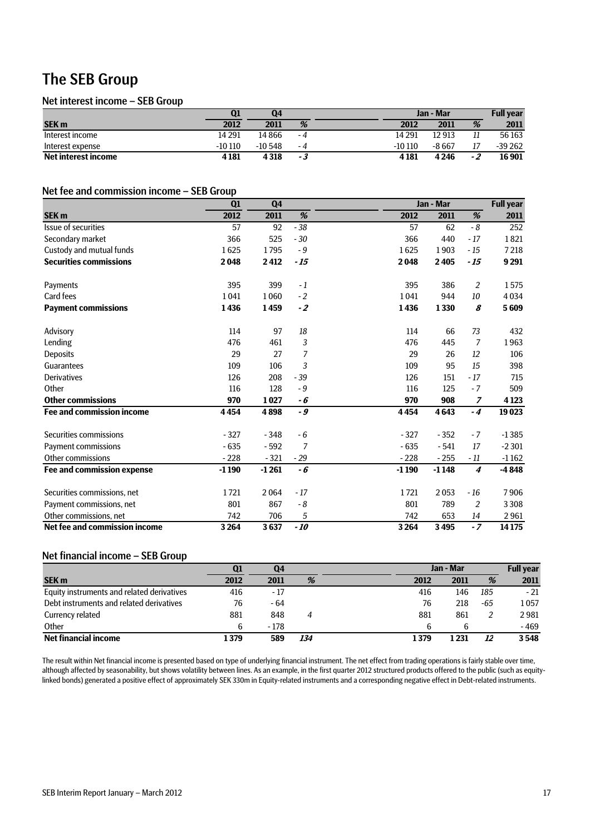## The SEB Group

### Net interest income – SEB Group

|                     | Q1       | Q4       |     |          | Jan - Mar |     |         |
|---------------------|----------|----------|-----|----------|-----------|-----|---------|
| <b>SEK m</b>        | 2012     | 2011     | %   | 2012     | 2011      | %   | 2011    |
| Interest income     | 14 291   | 14866    | - 4 | 14 2 9 1 | 12 913    | 11  | 56 163  |
| Interest expense    | $-10110$ | $-10548$ | - 4 | $-10110$ | $-8667$   |     | -39 262 |
| Net interest income | 4 1 8 1  | 4 3 1 8  | - 3 | 4 1 8 1  | 4 2 4 6   | - 2 | 16901   |

### Net fee and commission income – SEB Group

|                                  | Q1      | Q <sub>4</sub> |            |         | Jan - Mar |                  | <b>Full year</b> |
|----------------------------------|---------|----------------|------------|---------|-----------|------------------|------------------|
| <b>SEK m</b>                     | 2012    | 2011           | %          | 2012    | 2011      | %                | 2011             |
| Issue of securities              | 57      | 92             | $-38$      | 57      | 62        | $-8$             | 252              |
| Secondary market                 | 366     | 525            | $-30$      | 366     | 440       | $-17$            | 1821             |
| Custody and mutual funds         | 1625    | 1795           | $-9$       | 1625    | 1903      | $-15$            | 7218             |
| <b>Securities commissions</b>    | 2048    | 2412           | $-15$      | 2048    | 2405      | $-15$            | 9291             |
| Payments                         | 395     | 399            | $-1$       | 395     | 386       | 2                | 1575             |
| Card fees                        | 1041    | 1060           | $-2$       | 1041    | 944       | 10               | 4034             |
| <b>Payment commissions</b>       | 1436    | 1459           | $-2$       | 1436    | 1330      | 8                | 5609             |
| Advisory                         | 114     | 97             | 18         | 114     | 66        | 73               | 432              |
| Lending                          | 476     | 461            | $\sqrt{3}$ | 476     | 445       | $\overline{7}$   | 1963             |
| <b>Deposits</b>                  | 29      | 27             | 7          | 29      | 26        | 12               | 106              |
| Guarantees                       | 109     | 106            | 3          | 109     | 95        | 15               | 398              |
| <b>Derivatives</b>               | 126     | 208            | $-39$      | 126     | 151       | $-17$            | 715              |
| Other                            | 116     | 128            | - 9        | 116     | 125       | $-7$             | 509              |
| <b>Other commissions</b>         | 970     | 1027           | - 6        | 970     | 908       | $\overline{z}$   | 4 1 2 3          |
| <b>Fee and commission income</b> | 4454    | 4898           | $-9$       | 4454    | 4643      | $-4$             | 19023            |
| Securities commissions           | $-327$  | $-348$         | $-6$       | $-327$  | $-352$    | $-7$             | $-1385$          |
| Payment commissions              | $-635$  | $-592$         | 7          | $-635$  | $-541$    | 17               | $-2301$          |
| Other commissions                | $-228$  | $-321$         | $-29$      | $-228$  | $-255$    | - 11             | $-1162$          |
| Fee and commission expense       | $-1190$ | $-1261$        | - 6        | $-1190$ | $-1148$   | $\boldsymbol{4}$ | $-4848$          |
| Securities commissions, net      | 1721    | 2064           | $-17$      | 1721    | 2053      | $-16$            | 7906             |
| Payment commissions, net         | 801     | 867            | - 8        | 801     | 789       | $\overline{2}$   | 3308             |
| Other commissions, net           | 742     | 706            | 5          | 742     | 653       | 14               | 2961             |
| Net fee and commission income    | 3 2 6 4 | 3637           | $-10$      | 3 2 6 4 | 3495      | $-7$             | 14 17 5          |

### Net financial income – SEB Group

|                                            | Q1   | 04     |     |      | Jan - Mar |     | <b>Full year</b> |
|--------------------------------------------|------|--------|-----|------|-----------|-----|------------------|
| <b>SEK m</b>                               | 2012 | 2011   | %   | 2012 | 2011      | %   | 2011             |
| Equity instruments and related derivatives | 416  | $-17$  |     | 416  | 146       | 185 | $-21$            |
| Debt instruments and related derivatives   | 76   | $-64$  |     | 76   | 218       | -65 | 1057             |
| Currency related                           | 881  | 848    | 4   | 881  | 861       |     | 2981             |
| Other                                      |      | $-178$ |     |      |           |     | $-469$           |
| <b>Net financial income</b>                | 1379 | 589    | 134 | 1379 | l 231     |     | 3548             |

The result within Net financial income is presented based on type of underlying financial instrument. The net effect from trading operations is fairly stable over time, although affected by seasonability, but shows volatility between lines. As an example, in the first quarter 2012 structured products offered to the public (such as equitylinked bonds) generated a positive effect of approximately SEK 330m in Equity-related instruments and a corresponding negative effect in Debt-related instruments.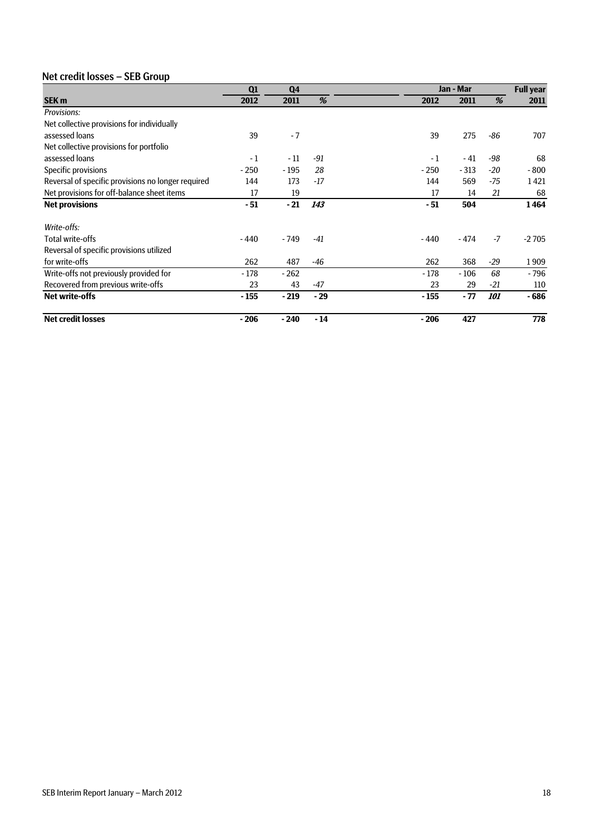### Net credit losses – SEB Group

|                                                    | Q1     | Q <sub>4</sub> |       |        | Jan - Mar |                   | <b>Full year</b> |
|----------------------------------------------------|--------|----------------|-------|--------|-----------|-------------------|------------------|
| SEK <sub>m</sub>                                   | 2012   | 2011           | %     | 2012   | 2011      | %                 | 2011             |
| Provisions:                                        |        |                |       |        |           |                   |                  |
| Net collective provisions for individually         |        |                |       |        |           |                   |                  |
| assessed loans                                     | 39     | $-7$           |       | 39     | 275       | $-86$             | 707              |
| Net collective provisions for portfolio            |        |                |       |        |           |                   |                  |
| assessed loans                                     | $-1$   | $-11$          | $-91$ | $-1$   | - 41      | -98               | 68               |
| Specific provisions                                | $-250$ | $-195$         | 28    | $-250$ | $-313$    | $-20$             | $-800$           |
| Reversal of specific provisions no longer required | 144    | 173            | $-17$ | 144    | 569       | $-75$             | 1421             |
| Net provisions for off-balance sheet items         | 17     | 19             |       | 17     | 14        | 21                | 68               |
| <b>Net provisions</b>                              | - 51   | $-21$          | 143   | - 51   | 504       |                   | 1464             |
| Write-offs:                                        |        |                |       |        |           |                   |                  |
| <b>Total write-offs</b>                            | $-440$ | - 749          | $-41$ | - 440  | - 474     | $-7$              | $-2705$          |
| Reversal of specific provisions utilized           |        |                |       |        |           |                   |                  |
| for write-offs                                     | 262    | 487            | -46   | 262    | 368       | $-29$             | 1909             |
| Write-offs not previously provided for             | $-178$ | $-262$         |       | - 178  | - 106     | 68                | - 796            |
| Recovered from previous write-offs                 | 23     | 43             | $-47$ | 23     | 29        | $-21$             | 110              |
| <b>Net write-offs</b>                              | $-155$ | $-219$         | $-29$ | $-155$ | $-77$     | <i><b>101</b></i> | - 686            |
| <b>Net credit losses</b>                           | $-206$ | $-240$         | $-14$ | $-206$ | 427       |                   | 778              |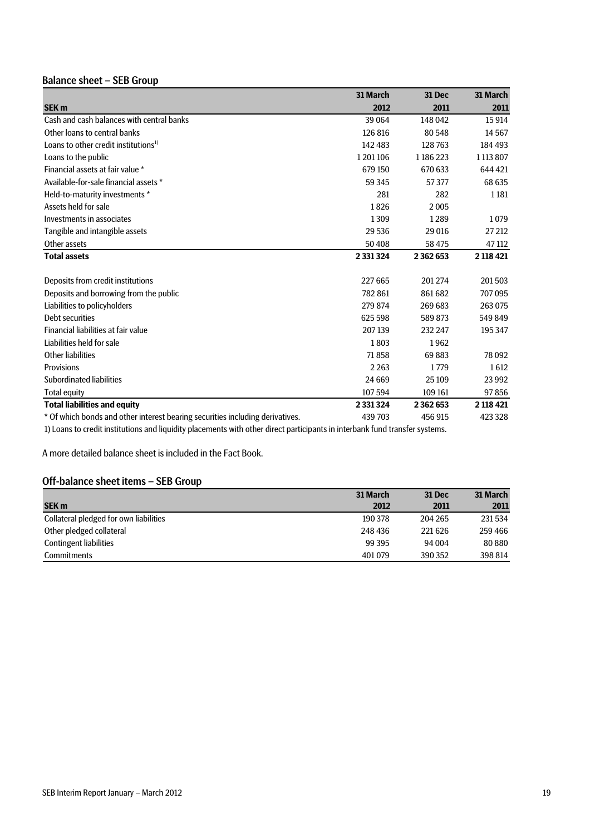### Balance sheet – SEB Group

|                                                                               | 31 March      | <b>31 Dec</b> | 31 March      |
|-------------------------------------------------------------------------------|---------------|---------------|---------------|
| <b>SEK m</b>                                                                  | 2012          | 2011          | 2011          |
| Cash and cash balances with central banks                                     | 39 0 64       | 148 042       | 15914         |
| Other loans to central banks                                                  | 126 816       | 80548         | 14567         |
| Loans to other credit institutions <sup>1)</sup>                              | 142 483       | 128763        | 184 493       |
| Loans to the public                                                           | 1201106       | 1186223       | 1 1 1 3 8 0 7 |
| Financial assets at fair value *                                              | 679 150       | 670 633       | 644 421       |
| Available-for-sale financial assets *                                         | 59 345        | 57377         | 68 635        |
| Held-to-maturity investments *                                                | 281           | 282           | 1 1 8 1       |
| Assets held for sale                                                          | 1826          | 2005          |               |
| Investments in associates                                                     | 1309          | 1289          | 1079          |
| Tangible and intangible assets                                                | 29 536        | 29 016        | 27 21 2       |
| Other assets                                                                  | 50 40 8       | 58 475        | 47 112        |
| <b>Total assets</b>                                                           | 2 3 3 3 3 2 4 | 2 3 6 2 6 5 3 | 2 118 421     |
|                                                                               |               |               |               |
| Deposits from credit institutions                                             | 227665        | 201 274       | 201503        |
| Deposits and borrowing from the public                                        | 782861        | 861 682       | 707095        |
| Liabilities to policyholders                                                  | 279 874       | 269 683       | 263075        |
| Debt securities                                                               | 625 598       | 589873        | 549 849       |
| Financial liabilities at fair value                                           | 207139        | 232 247       | 195 347       |
| Liabilities held for sale                                                     | 1803          | 1962          |               |
| Other liabilities                                                             | 71858         | 69883         | 78 0 92       |
| Provisions                                                                    | 2 2 6 3       | 1779          | 1612          |
| Subordinated liabilities                                                      | 24 6 69       | 25 109        | 23 9 92       |
| <b>Total equity</b>                                                           | 107594        | 109 161       | 97856         |
| <b>Total liabilities and equity</b>                                           | 2 3 3 3 2 4   | 2362653       | 2 118 421     |
| * Of which bonds and other interest bearing securities including derivatives. | 439 703       | 456 915       | 423 328       |
|                                                                               |               |               |               |

1) Loans to credit institutions and liquidity placements with other direct participants in interbank fund transfer systems.

A more detailed balance sheet is included in the Fact Book.

### Off-balance sheet items – SEB Group

|                                        | 31 March | <b>31 Dec</b> | 31 March |
|----------------------------------------|----------|---------------|----------|
| <b>SEK m</b>                           | 2012     | 2011          | 2011     |
| Collateral pledged for own liabilities | 190 378  | 204 265       | 231 534  |
| Other pledged collateral               | 248 436  | 221626        | 259 466  |
| <b>Contingent liabilities</b>          | 99 395   | 94 004        | 80880    |
| <b>Commitments</b>                     | 401079   | 390 352       | 398 814  |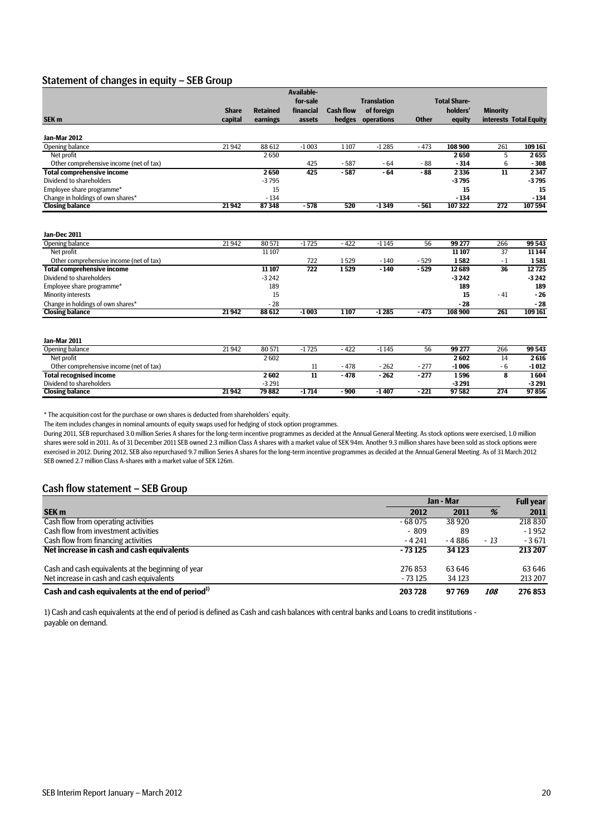### Statement of changes in equity – SEB Group

|                                         |              |                 | Available-      |                  |                    |              |                     |                 |                        |
|-----------------------------------------|--------------|-----------------|-----------------|------------------|--------------------|--------------|---------------------|-----------------|------------------------|
|                                         |              |                 | for-sale        |                  | <b>Translation</b> |              | <b>Total Share-</b> |                 |                        |
|                                         | <b>Share</b> | <b>Retained</b> | financial       | <b>Cash flow</b> | of foreign         |              | holders'            | <b>Minority</b> |                        |
| SEK <sub>m</sub>                        | capital      | earnings        | assets          | hedges           | operations         | <b>Other</b> | equity              |                 | interests Total Equity |
| Jan-Mar 2012                            |              |                 |                 |                  |                    |              |                     |                 |                        |
| Opening balance                         | 21942        | 88 612          | $-1003$         | 1107             | $-1285$            | $-473$       | 108 900             | 261             | 109 161                |
| Net profit                              |              | 2650            |                 |                  |                    |              | 2650                | 5               | 2655                   |
| Other comprehensive income (net of tax) |              |                 | 425             | $-587$           | - 64               | $-88$        | $-314$              | 6               | $-308$                 |
| <b>Total comprehensive income</b>       |              | 2650            | 425             | $-587$           | $-64$              | $-88$        | 2336                | $\overline{11}$ | 2 3 4 7                |
| Dividend to shareholders                |              | $-3795$         |                 |                  |                    |              | $-3795$             |                 | $-3795$                |
| Employee share programme*               |              | 15              |                 |                  |                    |              | 15                  |                 | 15                     |
| Change in holdings of own shares*       |              | $-134$          |                 |                  |                    |              | $-134$              |                 | $-134$                 |
| <b>Closing balance</b>                  | 21942        | 87348           | $-578$          | 520              | $-1349$            | $-561$       | 107322              | 272             | 107594                 |
| <b>Jan-Dec 2011</b>                     |              |                 |                 |                  |                    |              |                     |                 |                        |
| Opening balance                         | 21942        | 80 571          | $-1725$         | $-422$           | $-1145$            | 56           | 99 277              | 266             | 99 543                 |
| Net profit                              |              | 11 10 7         |                 |                  |                    |              | 11107               | 37              | 11144                  |
| Other comprehensive income (net of tax) |              |                 | 722             | 1529             | $-140$             | $-529$       | 1582                | $-1$            | 1581                   |
| <b>Total comprehensive income</b>       |              | 11 10 7         | 722             | 1529             | $-140$             | $-529$       | 12689               | 36              | 12725                  |
| Dividend to shareholders                |              | $-3242$         |                 |                  |                    |              | $-3242$             |                 | $-3242$                |
| Employee share programme*               |              | 189             |                 |                  |                    |              | 189                 |                 | 189                    |
| <b>Minority interests</b>               |              | 15              |                 |                  |                    |              | 15                  | $-41$           | $-26$                  |
| Change in holdings of own shares*       |              | $-28$           |                 |                  |                    |              | $-28$               |                 | $-28$                  |
| <b>Closing balance</b>                  | 21942        | 88 612          | $-1003$         | 1107             | $-1285$            | $-473$       | 108 900             | 261             | 109 161                |
| Jan-Mar 2011                            |              |                 |                 |                  |                    |              |                     |                 |                        |
| Opening balance                         | 21942        | 80 571          | $-1725$         | $-422$           | $-1145$            | 56           | 99 277              | 266             | 99 543                 |
| Net profit                              |              | 2602            |                 |                  |                    |              | 2602                | 14              | 2616                   |
| Other comprehensive income (net of tax) |              |                 | 11              | $-478$           | $-262$             | $-277$       | $-1006$             | $-6$            | $-1012$                |
| <b>Total recognised income</b>          |              | 2602            | $\overline{11}$ | $-478$           | $-262$             | $-277$       | 1596                | 8               | 1604                   |
| Dividend to shareholders                |              | $-3291$         |                 |                  |                    |              | $-3291$             |                 | $-3291$                |
| <b>Closing balance</b>                  | 21942        | 79882           | $-1714$         | $-900$           | $-1407$            | $-221$       | 97582               | 274             | 97856                  |

\* The acquisition cost for the purchase or own shares is deducted from shareholders' equity.

The item includes changes in nominal amounts of equity swaps used for hedging of stock option programmes.

During 2011, SEB repurchased 3.0 million Series A shares for the long-term incentive programmes as decided at the Annual General Meeting. As stock options were exercised, 1.0 million shares were sold in 2011. As of 31 December 2011 SEB owned 2.3 million Class A shares with a market value of SEK 94m. Another 9.3 million shares have been sold as stock options were exercised in 2012. During 2012, SEB also repurchased 9.7 million Series A shares for the long-term incentive programmes as decided at the Annual General Meeting. As of 31 March 2012 SEB owned 2.7 million Class A-shares with a market value of SEK 126m.

### Cash flow statement – SEB Group

|                                                              | Jan - Mar |         |      |         |  |  |
|--------------------------------------------------------------|-----------|---------|------|---------|--|--|
| <b>SEK m</b>                                                 | 2012      | 2011    | %    | 2011    |  |  |
| Cash flow from operating activities                          | $-68075$  | 38920   |      | 218 830 |  |  |
| Cash flow from investment activities                         | $-809$    | 89      |      | $-1952$ |  |  |
| Cash flow from financing activities                          | $-4241$   | -4886   | - 13 | $-3671$ |  |  |
| Net increase in cash and cash equivalents                    | $-73125$  | 34 1 23 |      | 213 207 |  |  |
| Cash and cash equivalents at the beginning of year           | 276 853   | 63 646  |      | 63 646  |  |  |
| Net increase in cash and cash equivalents                    | $-73125$  | 34 1 23 |      | 213 207 |  |  |
| Cash and cash equivalents at the end of period <sup>1)</sup> | 203728    | 97 769  | 108  | 276853  |  |  |

1) Cash and cash equivalents at the end of period is defined as Cash and cash balances with central banks and Loans to credit institutions payable on demand.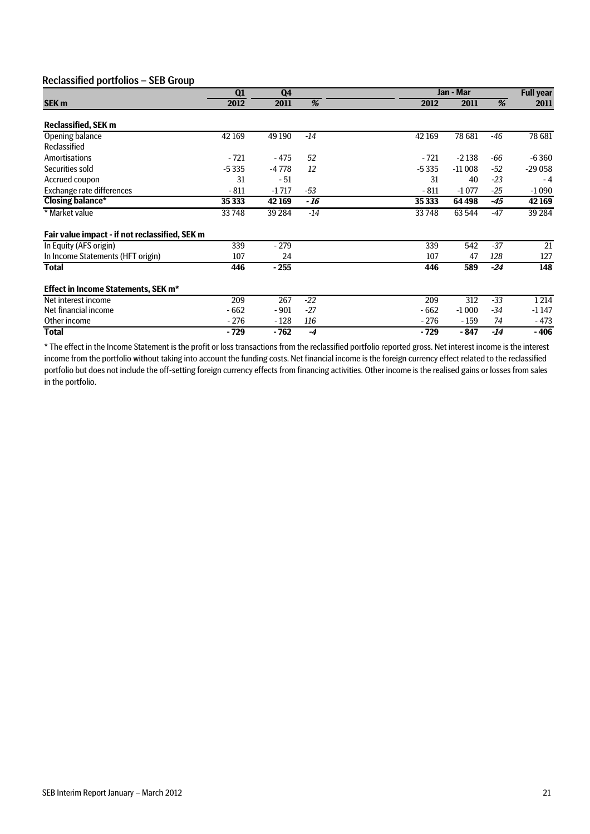### Reclassified portfolios – SEB Group

|                                                | Q1      | Q <sub>4</sub> |       |         | Jan - Mar |       |          |  |
|------------------------------------------------|---------|----------------|-------|---------|-----------|-------|----------|--|
| <b>SEK m</b>                                   | 2012    | 2011           | %     | 2012    | 2011      | %     | 2011     |  |
| <b>Reclassified, SEK m</b>                     |         |                |       |         |           |       |          |  |
| <b>Opening balance</b>                         | 42 169  | 49 190         | $-14$ | 42 169  | 78 681    | $-46$ | 78 681   |  |
| Reclassified                                   |         |                |       |         |           |       |          |  |
| <b>Amortisations</b>                           | $-721$  | - 475          | 52    | $-721$  | $-2138$   | -66   | $-6360$  |  |
| Securities sold                                | $-5335$ | $-4778$        | 12    | $-5335$ | $-11008$  | $-52$ | $-29058$ |  |
| Accrued coupon                                 | 31      | - 51           |       | 31      | 40        | $-23$ | $-4$     |  |
| Exchange rate differences                      | $-811$  | $-1717$        | $-53$ | - 811   | $-1077$   | $-25$ | $-1090$  |  |
| <b>Closing balance*</b>                        | 35 333  | 42 169         | - 16  | 35 3 33 | 64 4 98   | -45   | 42 169   |  |
| * Market value                                 | 33748   | 39 284         | $-14$ | 33748   | 63 544    | $-47$ | 39 284   |  |
| Fair value impact - if not reclassified, SEK m |         |                |       |         |           |       |          |  |
| In Equity (AFS origin)                         | 339     | $-279$         |       | 339     | 542       | $-37$ | 21       |  |
| In Income Statements (HFT origin)              | 107     | 24             |       | 107     | 47        | 128   | 127      |  |
| <b>Total</b>                                   | 446     | $-255$         |       | 446     | 589       | $-24$ | 148      |  |
| Effect in Income Statements, SEK m*            |         |                |       |         |           |       |          |  |
| Net interest income                            | 209     | 267            | $-22$ | 209     | 312       | $-33$ | 1214     |  |
| Net financial income                           | $-662$  | $-901$         | $-27$ | - 662   | $-1000$   | -34   | -1 147   |  |
| Other income                                   | $-276$  | $-128$         | 116   | $-276$  | $-159$    | 74    | - 473    |  |
| <b>Total</b>                                   | - 729   | - 762          | $-4$  | - 729   | - 847     | -14   | $-406$   |  |

\* The effect in the Income Statement is the profit or loss transactions from the reclassified portfolio reported gross. Net interest income is the interest income from the portfolio without taking into account the funding costs. Net financial income is the foreign currency effect related to the reclassified portfolio but does not include the off-setting foreign currency effects from financing activities. Other income is the realised gains or losses from sales in the portfolio.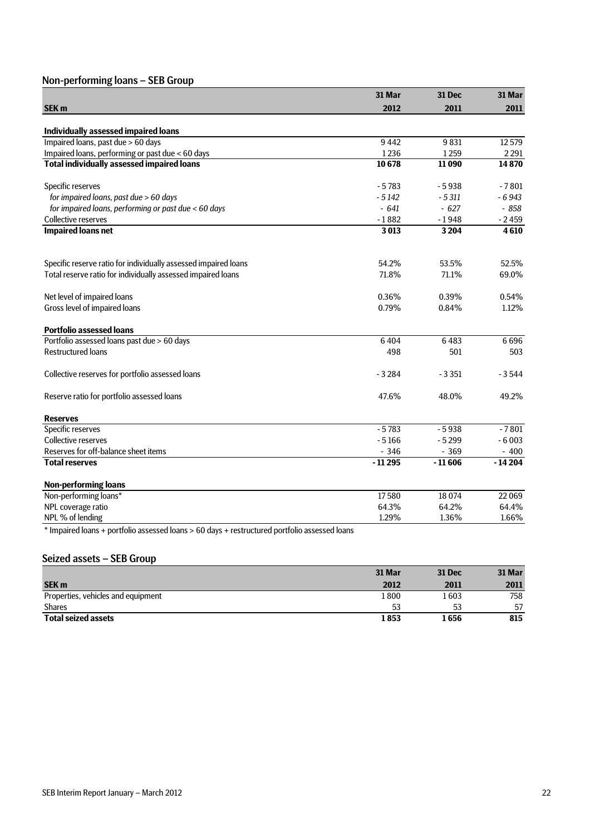## Non-performing loans – SEB Group

|                                                                                               | 31 Mar   | 31 Dec   | 31 Mar   |
|-----------------------------------------------------------------------------------------------|----------|----------|----------|
| SEK <sub>m</sub>                                                                              | 2012     | 2011     | 2011     |
|                                                                                               |          |          |          |
| Individually assessed impaired loans                                                          |          |          |          |
| Impaired loans, past due > 60 days                                                            | 9442     | 9831     | 12579    |
| Impaired loans, performing or past due < 60 days                                              | 1236     | 1259     | 2 2 9 1  |
| <b>Total individually assessed impaired loans</b>                                             | 10678    | 11090    | 14870    |
| Specific reserves                                                                             | $-5783$  | $-5938$  | $-7801$  |
| for impaired loans, past due > 60 days                                                        | $-5142$  | $-5311$  | $-6943$  |
| for impaired loans, performing or past due < 60 days                                          | $-641$   | $-627$   | $-858$   |
| Collective reserves                                                                           | $-1882$  | $-1948$  | $-2459$  |
| <b>Impaired loans net</b>                                                                     | 3013     | 3204     | 4610     |
| Specific reserve ratio for individually assessed impaired loans                               | 54.2%    | 53.5%    | 52.5%    |
| Total reserve ratio for individually assessed impaired loans                                  | 71.8%    | 71.1%    | 69.0%    |
| Net level of impaired loans                                                                   | 0.36%    | 0.39%    | 0.54%    |
| Gross level of impaired loans                                                                 | 0.79%    | 0.84%    | 1.12%    |
| <b>Portfolio assessed loans</b>                                                               |          |          |          |
| Portfolio assessed loans past due > 60 days                                                   | 6404     | 6483     | 6696     |
| <b>Restructured loans</b>                                                                     | 498      | 501      | 503      |
| Collective reserves for portfolio assessed loans                                              | $-3284$  | $-3351$  | $-3544$  |
| Reserve ratio for portfolio assessed loans                                                    | 47.6%    | 48.0%    | 49.2%    |
| <b>Reserves</b>                                                                               |          |          |          |
| Specific reserves                                                                             | $-5783$  | $-5938$  | $-7801$  |
| <b>Collective reserves</b>                                                                    | $-5166$  | $-5299$  | $-6003$  |
| Reserves for off-balance sheet items                                                          | $-346$   | $-369$   | $-400$   |
| <b>Total reserves</b>                                                                         | $-11295$ | $-11606$ | $-14204$ |
| <b>Non-performing loans</b>                                                                   |          |          |          |
| Non-performing loans*                                                                         | 17580    | 18 0 74  | 22069    |
| NPL coverage ratio                                                                            | 64.3%    | 64.2%    | 64.4%    |
| NPL % of lending                                                                              | 1.29%    | 1.36%    | 1.66%    |
| * Impaired loans + portfolio assessed loans > 60 days + restructured portfolio assessed loans |          |          |          |

### Seized assets – SEB Group

|                                    | 31 Mar | <b>31 Dec</b> | 31 Mar |
|------------------------------------|--------|---------------|--------|
| <b>SEK m</b>                       | 2012   | 2011          | 2011   |
| Properties, vehicles and equipment | 800    | .603          | 758    |
| <b>Shares</b>                      | 53     | 53            | 57     |
| <b>Total seized assets</b>         | 1853   | 1656          | 815    |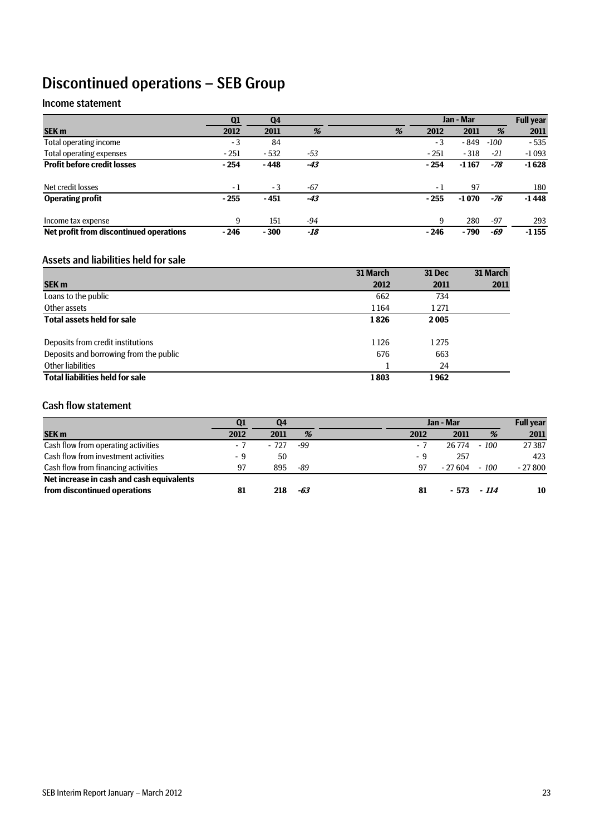## Discontinued operations – SEB Group

### Income statement

|                                         | Q1     | Q4     |       |   |        | Jan - Mar |        | <b>Full year</b> |
|-----------------------------------------|--------|--------|-------|---|--------|-----------|--------|------------------|
| <b>SEK m</b>                            | 2012   | 2011   | %     | % | 2012   | 2011      | %      | 2011             |
| Total operating income                  | - 3    | 84     |       |   | - 3    | $-849$    | $-100$ | $-535$           |
| <b>Total operating expenses</b>         | $-251$ | $-532$ | -53   |   | $-251$ | $-318$    | $-21$  | $-1093$          |
| <b>Profit before credit losses</b>      | $-254$ | $-448$ | -43   |   | $-254$ | $-1167$   | -78    | $-1628$          |
| Net credit losses                       | $-1$   | - 3    | $-67$ |   | - 1    | 97        |        | 180              |
| <b>Operating profit</b>                 | $-255$ | $-451$ | -43   |   | $-255$ | $-1070$   | -76    | $-1448$          |
| Income tax expense                      | 9      | 151    | -94   |   | 9      | 280       | $-97$  | 293              |
| Net profit from discontinued operations | $-246$ | $-300$ | -18   |   | $-246$ | $-790$    | -69    | $-1155$          |

### Assets and liabilities held for sale

|                                        | 31 March | <b>31 Dec</b> | 31 March |  |
|----------------------------------------|----------|---------------|----------|--|
| SEK <sub>m</sub>                       | 2012     | 2011          | 2011     |  |
| Loans to the public                    | 662      | 734           |          |  |
| Other assets                           | 1164     | 1271          |          |  |
| <b>Total assets held for sale</b>      | 1826     | 2005          |          |  |
| Deposits from credit institutions      | 1126     | 1275          |          |  |
| Deposits and borrowing from the public | 676      | 663           |          |  |
| Other liabilities                      |          | 24            |          |  |
| <b>Total liabilities held for sale</b> | 1803     | 1962          |          |  |

### Cash flow statement

|                                           | Q1   | Q4    |     |      | Jan - Mar      |              | <b>Full year</b> |
|-------------------------------------------|------|-------|-----|------|----------------|--------------|------------------|
| <b>SEK m</b>                              | 2012 | 2011  | %   | 2012 | 2011           | %            | 2011             |
| Cash flow from operating activities       |      | - 727 | -99 | - 7  | 26 774         | $-100$       | 27387            |
| Cash flow from investment activities      | - 9  | 50    |     | - 9  | 257            |              | 423              |
| Cash flow from financing activities       | 97   | 895   | -89 | 97   | $-27604 - 100$ |              | $-27800$         |
| Net increase in cash and cash equivalents |      |       |     |      |                |              |                  |
| from discontinued operations              | 81   | 218   | -63 | 81   |                | $-573 - 114$ | 10               |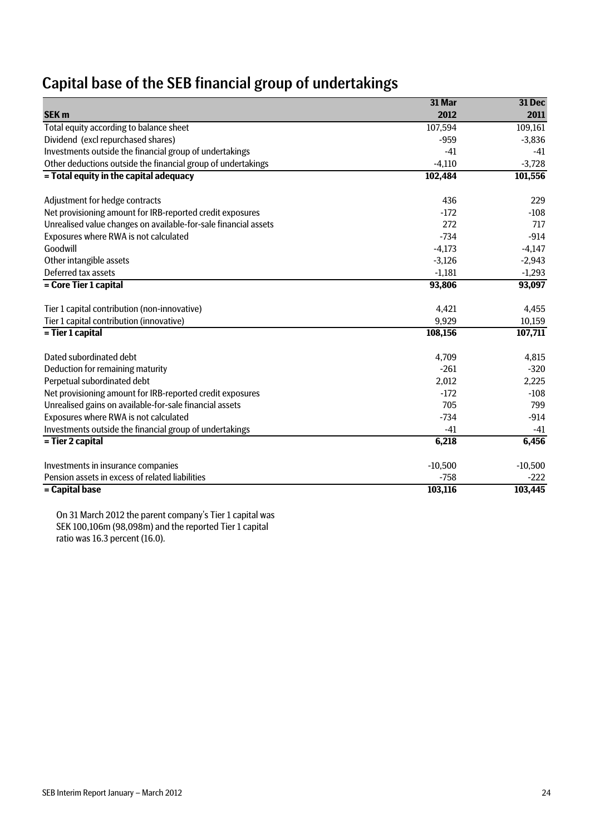## Capital base of the SEB financial group of undertakings

|                                                                                                          | 31 Mar        | 31 Dec        |
|----------------------------------------------------------------------------------------------------------|---------------|---------------|
| SEK <sub>m</sub>                                                                                         | 2012          | 2011          |
| Total equity according to balance sheet                                                                  | 107,594       | 109,161       |
| Dividend (excl repurchased shares)                                                                       | $-959$        | $-3,836$      |
| Investments outside the financial group of undertakings                                                  | $-41$         | -41           |
| Other deductions outside the financial group of undertakings                                             | $-4,110$      | $-3,728$      |
| = Total equity in the capital adequacy                                                                   | 102,484       | 101,556       |
| Adjustment for hedge contracts                                                                           | 436           | 229           |
| Net provisioning amount for IRB-reported credit exposures                                                | $-172$        | $-108$        |
|                                                                                                          |               |               |
| Unrealised value changes on available-for-sale financial assets<br>Exposures where RWA is not calculated | 272<br>$-734$ | 717<br>$-914$ |
| Goodwill                                                                                                 |               |               |
|                                                                                                          | $-4,173$      | $-4,147$      |
| Other intangible assets                                                                                  | $-3,126$      | $-2,943$      |
| Deferred tax assets                                                                                      | $-1,181$      | $-1,293$      |
| = Core Tier 1 capital                                                                                    | 93,806        | 93,097        |
| Tier 1 capital contribution (non-innovative)                                                             | 4,421         | 4,455         |
| Tier 1 capital contribution (innovative)                                                                 | 9,929         | 10,159        |
| = Tier 1 capital                                                                                         | 108,156       | 107,711       |
| Dated subordinated debt                                                                                  | 4,709         | 4,815         |
| Deduction for remaining maturity                                                                         | $-261$        | $-320$        |
| Perpetual subordinated debt                                                                              | 2,012         | 2,225         |
| Net provisioning amount for IRB-reported credit exposures                                                | $-172$        | $-108$        |
| Unrealised gains on available-for-sale financial assets                                                  | 705           | 799           |
| Exposures where RWA is not calculated                                                                    | $-734$        | $-914$        |
| Investments outside the financial group of undertakings                                                  | $-41$         | -41           |
| = Tier 2 capital                                                                                         | 6,218         | 6,456         |
|                                                                                                          |               |               |
| Investments in insurance companies                                                                       | $-10,500$     | $-10,500$     |
| Pension assets in excess of related liabilities                                                          | $-758$        | $-222$        |
| $=$ Capital base                                                                                         | 103,116       | 103,445       |

On 31 March 2012 the parent company's Tier 1 capital was SEK 100,106m (98,098m) and the reported Tier 1 capital ratio was 16.3 percent (16.0)*.*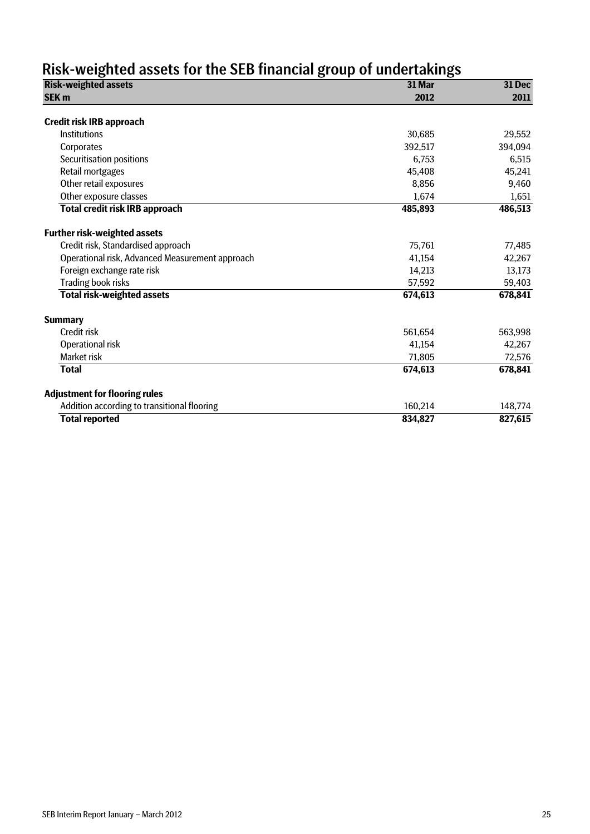## Risk-weighted assets for the SEB financial group of undertakings

| <b>Risk-weighted assets</b>                     | 31 Mar  | <b>31 Dec</b> |  |
|-------------------------------------------------|---------|---------------|--|
| SEK <sub>m</sub>                                | 2012    | 2011          |  |
| <b>Credit risk IRB approach</b>                 |         |               |  |
| <b>Institutions</b>                             | 30,685  | 29,552        |  |
| Corporates                                      | 392.517 | 394,094       |  |
| <b>Securitisation positions</b>                 | 6,753   | 6,515         |  |
| Retail mortgages                                | 45,408  | 45,241        |  |
| Other retail exposures                          | 8,856   | 9,460         |  |
| Other exposure classes                          | 1,674   | 1,651         |  |
| <b>Total credit risk IRB approach</b>           | 485,893 | 486,513       |  |
| <b>Further risk-weighted assets</b>             |         |               |  |
| Credit risk, Standardised approach              | 75,761  | 77,485        |  |
| Operational risk, Advanced Measurement approach | 41,154  | 42,267        |  |
| Foreign exchange rate risk                      | 14,213  | 13,173        |  |
| Trading book risks                              | 57,592  | 59,403        |  |
| <b>Total risk-weighted assets</b>               | 674,613 | 678,841       |  |
| <b>Summary</b>                                  |         |               |  |
| Credit risk                                     | 561,654 | 563,998       |  |
| Operational risk                                | 41,154  | 42,267        |  |
| Market risk                                     | 71.805  | 72,576        |  |
| <b>Total</b>                                    | 674,613 | 678,841       |  |
| <b>Adjustment for flooring rules</b>            |         |               |  |
| Addition according to transitional flooring     | 160,214 | 148,774       |  |
| <b>Total reported</b>                           | 834.827 | 827,615       |  |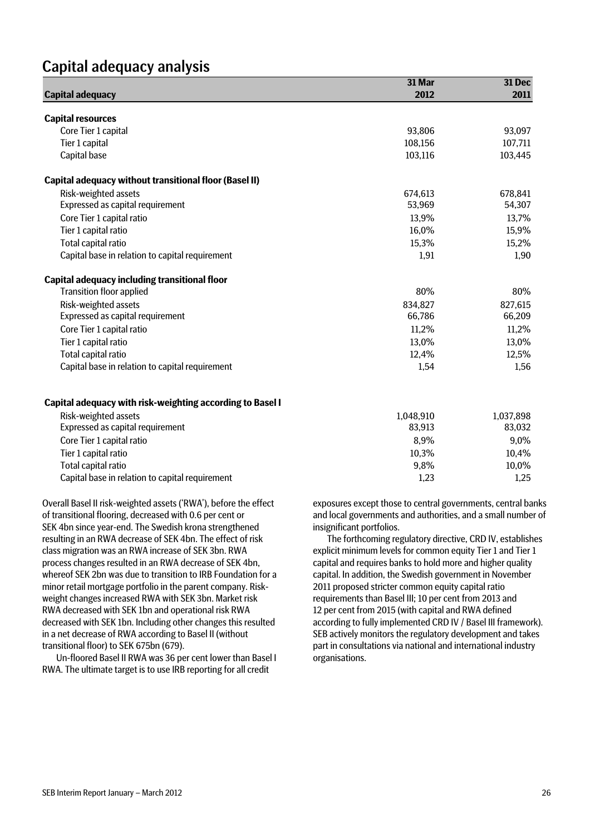## Capital adequacy analysis

| <b>Capital adequacy</b><br>2012                                  | 2011      |
|------------------------------------------------------------------|-----------|
| <b>Capital resources</b>                                         |           |
| Core Tier 1 capital<br>93,806                                    | 93,097    |
| Tier 1 capital<br>108,156                                        | 107,711   |
| Capital base<br>103,116                                          | 103,445   |
| <b>Capital adequacy without transitional floor (Basel II)</b>    |           |
| Risk-weighted assets<br>674,613                                  | 678,841   |
| Expressed as capital requirement<br>53,969                       | 54,307    |
| Core Tier 1 capital ratio<br>13,9%                               | 13,7%     |
| Tier 1 capital ratio<br>16,0%                                    | 15,9%     |
| Total capital ratio<br>15,3%                                     | 15,2%     |
| Capital base in relation to capital requirement<br>1,91          | 1,90      |
| Capital adequacy including transitional floor                    |           |
| 80%<br><b>Transition floor applied</b>                           | 80%       |
| Risk-weighted assets<br>834,827                                  | 827,615   |
| Expressed as capital requirement<br>66,786                       | 66,209    |
| Core Tier 1 capital ratio<br>11,2%                               | 11,2%     |
| Tier 1 capital ratio<br>13,0%                                    | 13,0%     |
| Total capital ratio<br>12,4%                                     | 12,5%     |
| Capital base in relation to capital requirement<br>1,54          | 1,56      |
| <b>Capital adequacy with risk-weighting according to Basel I</b> |           |
| Risk-weighted assets<br>1,048,910                                | 1,037,898 |
| Expressed as capital requirement<br>83,913                       | 83,032    |
| Core Tier 1 capital ratio<br>8,9%                                | 9,0%      |
| Tier 1 capital ratio<br>10,3%                                    | 10,4%     |
| Total capital ratio<br>9,8%                                      | 10,0%     |
| Capital base in relation to capital requirement<br>1,23          | 1,25      |

Overall Basel II risk-weighted assets ('RWA'), before the effect of transitional flooring, decreased with 0.6 per cent or SEK 4bn since year-end. The Swedish krona strengthened resulting in an RWA decrease of SEK 4bn. The effect of risk class migration was an RWA increase of SEK 3bn. RWA process changes resulted in an RWA decrease of SEK 4bn, whereof SEK 2bn was due to transition to IRB Foundation for a minor retail mortgage portfolio in the parent company. Riskweight changes increased RWA with SEK 3bn. Market risk RWA decreased with SEK 1bn and operational risk RWA decreased with SEK 1bn. Including other changes this resulted in a net decrease of RWA according to Basel II (without transitional floor) to SEK 675bn (679).

Un-floored Basel II RWA was 36 per cent lower than Basel I RWA. The ultimate target is to use IRB reporting for all credit

exposures except those to central governments, central banks and local governments and authorities, and a small number of insignificant portfolios.

The forthcoming regulatory directive, CRD IV, establishes explicit minimum levels for common equity Tier 1 and Tier 1 capital and requires banks to hold more and higher quality capital. In addition, the Swedish government in November 2011 proposed stricter common equity capital ratio requirements than Basel III; 10 per cent from 2013 and 12 per cent from 2015 (with capital and RWA defined according to fully implemented CRD IV / Basel III framework). SEB actively monitors the regulatory development and takes part in consultations via national and international industry organisations.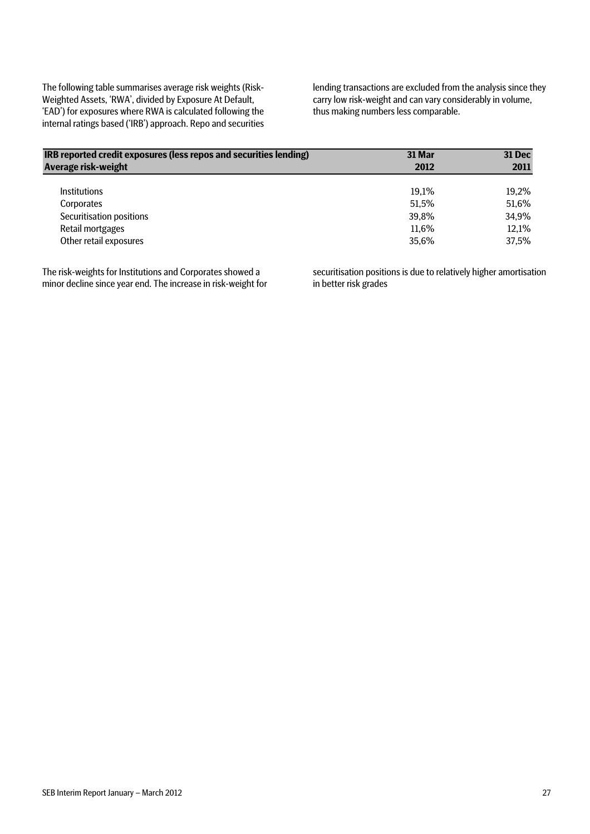The following table summarises average risk weights (Risk-Weighted Assets, 'RWA', divided by Exposure At Default, 'EAD') for exposures where RWA is calculated following the internal ratings based ('IRB') approach. Repo and securities lending transactions are excluded from the analysis since they carry low risk-weight and can vary considerably in volume, thus making numbers less comparable.

| IRB reported credit exposures (less repos and securities lending) | 31 Mar | 31 Dec |
|-------------------------------------------------------------------|--------|--------|
| Average risk-weight                                               | 2012   | 2011   |
| <b>Institutions</b>                                               | 19.1%  | 19,2%  |
| Corporates                                                        | 51.5%  | 51,6%  |
| Securitisation positions                                          | 39,8%  | 34,9%  |
| Retail mortgages                                                  | 11,6%  | 12,1%  |
| Other retail exposures                                            | 35,6%  | 37,5%  |

The risk-weights for Institutions and Corporates showed a minor decline since year end. The increase in risk-weight for securitisation positions is due to relatively higher amortisation in better risk grades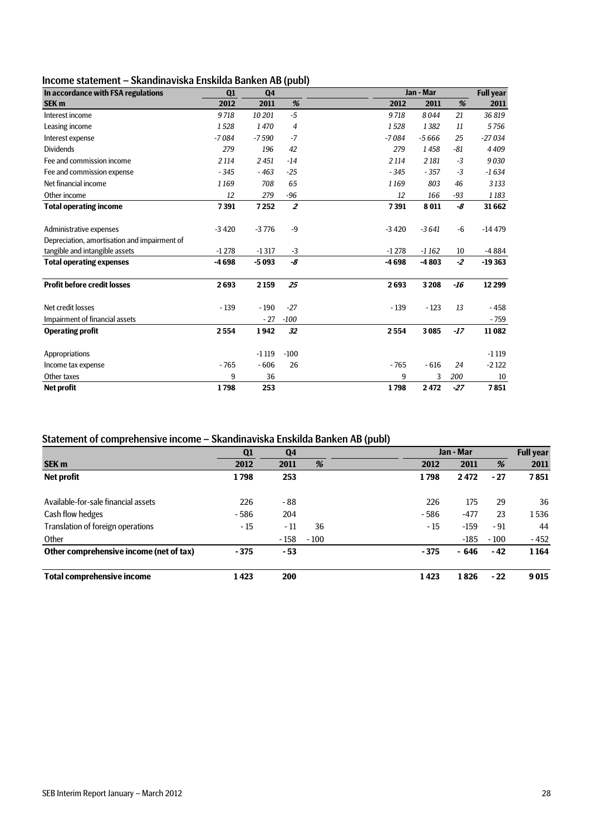### Income statement – Skandinaviska Enskilda Banken AB (publ)

| In accordance with FSA regulations           | Q <sub>4</sub><br>Q1 |         |                  | Jan - Mar |         |       | <b>Full year</b> |
|----------------------------------------------|----------------------|---------|------------------|-----------|---------|-------|------------------|
| SEK <sub>m</sub>                             | 2012                 | 2011    | %                | 2012      | 2011    | %     | 2011             |
| Interest income                              | 9718                 | 10 201  | $-5$             | 9718      | 8044    | 21    | 36819            |
| Leasing income                               | 1528                 | 1470    | $\overline{4}$   | 1528      | 1382    | 11    | 5756             |
| Interest expense                             | $-7084$              | $-7590$ | $-7$             | $-7084$   | $-5666$ | 25    | $-27034$         |
| <b>Dividends</b>                             | 279                  | 196     | 42               | 279       | 1458    | $-81$ | 4409             |
| Fee and commission income                    | 2 1 1 4              | 2451    | $-14$            | 2 1 1 4   | 2181    | $-3$  | 9030             |
| Fee and commission expense                   | $-345$               | $-463$  | $-25$            | $-345$    | $-357$  | $-3$  | $-1634$          |
| Net financial income                         | 1169                 | 708     | 65               | 1169      | 803     | 46    | 3133             |
| Other income                                 | 12                   | 279     | $-96$            | 12        | 166     | $-93$ | 1 1 8 3          |
| <b>Total operating income</b>                | 7391                 | 7252    | $\boldsymbol{z}$ | 7391      | 8011    | -8    | 31 662           |
| Administrative expenses                      | $-3420$              | $-3776$ | $-9$             | $-3420$   | $-3641$ | $-6$  | $-14479$         |
| Depreciation, amortisation and impairment of |                      |         |                  |           |         |       |                  |
| tangible and intangible assets               | $-1278$              | $-1317$ | $-3$             | $-1278$   | $-1162$ | 10    | $-4884$          |
| <b>Total operating expenses</b>              | $-4698$              | $-5093$ | -8               | $-4698$   | $-4803$ | $-2$  | $-19363$         |
| <b>Profit before credit losses</b>           | 2693                 | 2159    | 25               | 2693      | 3208    | -16   | 12 2 9 9         |
| Net credit losses                            | $-139$               | $-190$  | $-27$            | $-139$    | $-123$  | 13    | - 458            |
| Impairment of financial assets               |                      | $-27$   | $-100$           |           |         |       | $-759$           |
| <b>Operating profit</b>                      | 2554                 | 1942    | 32               | 2554      | 3085    | $-17$ | 11082            |
| Appropriations                               |                      | $-1119$ | $-100$           |           |         |       | $-1119$          |
| Income tax expense                           | $-765$               | $-606$  | 26               | $-765$    | $-616$  | 24    | $-2122$          |
| Other taxes                                  | 9                    | 36      |                  | 9         | 3       | 200   | 10               |
| Net profit                                   | 1798                 | 253     |                  | 1798      | 2472    | $-27$ | 7851             |

### Statement of comprehensive income – Skandinaviska Enskilda Banken AB (publ)

| Q1     | Q <sub>4</sub> |        | Jan - Mar |                                                         | <b>Full year</b> |
|--------|----------------|--------|-----------|---------------------------------------------------------|------------------|
| 2012   | 2011           | %      | 2011      | %                                                       | 2011             |
| 1798   | 253            |        | 2472      | $-27$                                                   | 7851             |
|        |                |        |           |                                                         |                  |
| 226    | - 88           |        | 175       | 29                                                      | 36               |
| $-586$ | 204            |        | $-477$    | 23                                                      | 1536             |
| $-15$  | $-11$          | 36     | $-159$    | $-91$                                                   | 44               |
|        | - 158          | $-100$ | $-185$    | $-100$                                                  | $-452$           |
| $-375$ | $-53$          |        | $-646$    | $-42$                                                   | 1164             |
| 1423   | 200            |        | 1826      | $-22$                                                   | 9015             |
|        |                |        |           | 2012<br>1798<br>226<br>$-586$<br>- 15<br>$-375$<br>1423 |                  |